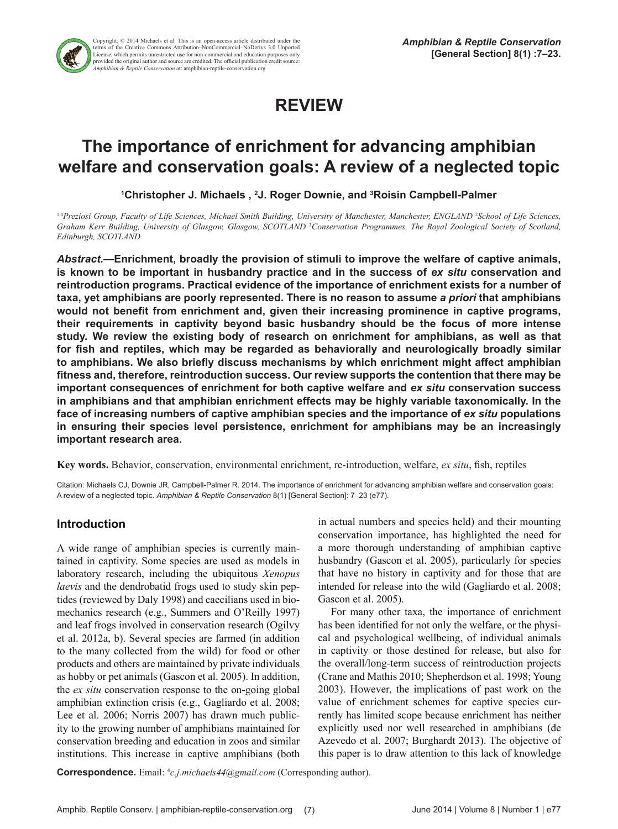

Copyright: © 2014 Michaels et al. This is an open-access article distributed under the terms of the Creative Commons Attribution–NonCommercial–NoDerivs 3.0 Unported License, which permits unrestricted use for non-commercial and education purposes only provided the original author and source are credited. The official publication credit source: *Amphibian & Reptile Conservation* at: amphibian-reptile-conservation.org

# **REVIEW**

## **The importance of enrichment for advancing amphibian welfare and conservation goals: A review of a neglected topic**

**1 Christopher J. Michaels , 2 J. Roger Downie, and 3 Roisin Campbell-Palmer**

<sup>1,4</sup>Preziosi Group, Faculty of Life Sciences, Michael Smith Building, University of Manchester, Manchester, ENGLAND<sup>2</sup>School of Life Sciences, Graham Kerr Building, University of Glasgow, Glasgow, SCOTLAND<sup>3</sup> Conservation Programmes, The Royal Zoological Society of Scotland, *Edinburgh, SCOTLAND*

*Abstract.—***Enrichment, broadly the provision of stimuli to improve the welfare of captive animals,**  is known to be important in husbandry practice and in the success of ex situ conservation and **reintroduction programs. Practical evidence of the importance of enrichment exists for a number of taxa, yet amphibians are poorly represented. There is no reason to assume** *a priori* **that amphibians would not benefit from enrichment and, given their increasing prominence in captive programs, their requirements in captivity beyond basic husbandry should be the focus of more intense study. We review the existing body of research on enrichment for amphibians, as well as that for fish and reptiles, which may be regarded as behaviorally and neurologically broadly similar to amphibians. We also briefly discuss mechanisms by which enrichment might affect amphibian fitness and, therefore, reintroduction success. Our review supports the contention that there may be important consequences of enrichment for both captive welfare and** *ex situ* **conservation success in amphibians and that amphibian enrichment effects may be highly variable taxonomically. In the face of increasing numbers of captive amphibian species and the importance of** *ex situ* **populations in ensuring their species level persistence, enrichment for amphibians may be an increasingly important research area.**

**Key words.** Behavior, conservation, environmental enrichment, re-introduction, welfare, *ex situ*, fish, reptiles

Citation: Michaels CJ, Downie JR, Campbell-Palmer R. 2014. The importance of enrichment for advancing amphibian welfare and conservation goals: A review of a neglected topic. *Amphibian & Reptile Conservation* 8(1) [General Section]: 7–23 (e77).

## **Introduction**

A wide range of amphibian species is currently maintained in captivity. Some species are used as models in laboratory research, including the ubiquitous *Xenopus laevis* and the dendrobatid frogs used to study skin peptides (reviewed by Daly 1998) and caecilians used in biomechanics research (e.g., Summers and O'Reilly 1997) and leaf frogs involved in conservation research (Ogilvy et al. 2012a, b). Several species are farmed (in addition to the many collected from the wild) for food or other products and others are maintained by private individuals as hobby or pet animals (Gascon et al. 2005). In addition, the *ex situ* conservation response to the on-going global amphibian extinction crisis (e.g., Gagliardo et al. 2008; Lee et al. 2006; Norris 2007) has drawn much publicity to the growing number of amphibians maintained for conservation breeding and education in zoos and similar institutions. This increase in captive amphibians (both

in actual numbers and species held) and their mounting conservation importance, has highlighted the need for a more thorough understanding of amphibian captive husbandry (Gascon et al. 2005), particularly for species that have no history in captivity and for those that are intended for release into the wild (Gagliardo et al. 2008; Gascon et al. 2005).

For many other taxa, the importance of enrichment has been identified for not only the welfare, or the physical and psychological wellbeing, of individual animals in captivity or those destined for release, but also for the overall/long-term success of reintroduction projects (Crane and Mathis 2010; Shepherdson et al. 1998; Young 2003). However, the implications of past work on the value of enrichment schemes for captive species currently has limited scope because enrichment has neither explicitly used nor well researched in amphibians (de Azevedo et al. 2007; Burghardt 2013). The objective of this paper is to draw attention to this lack of knowledge

**Correspondence.** Email: <sup>4</sup> *c.j.michaels44@gmail.com* (Corresponding author).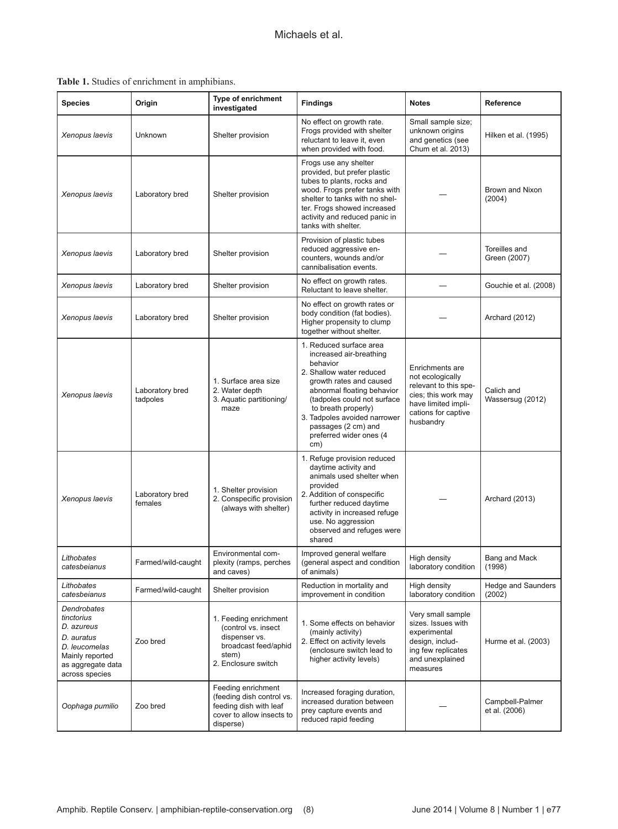**Table 1.** Studies of enrichment in amphibians.

| <b>Species</b>                                                                                                                   | Origin                      | <b>Type of enrichment</b><br>investigated                                                                             | <b>Findings</b><br><b>Notes</b>                                                                                                                                                                                                                                                                    |                                                                                                                                                | Reference                        |
|----------------------------------------------------------------------------------------------------------------------------------|-----------------------------|-----------------------------------------------------------------------------------------------------------------------|----------------------------------------------------------------------------------------------------------------------------------------------------------------------------------------------------------------------------------------------------------------------------------------------------|------------------------------------------------------------------------------------------------------------------------------------------------|----------------------------------|
| Xenopus laevis                                                                                                                   | Unknown                     | Shelter provision                                                                                                     | No effect on growth rate.<br>Frogs provided with shelter<br>reluctant to leave it, even<br>when provided with food.                                                                                                                                                                                | Small sample size;<br>unknown origins<br>and genetics (see<br>Chum et al. 2013)                                                                | Hilken et al. (1995)             |
| Xenopus laevis                                                                                                                   | Laboratory bred             | Shelter provision                                                                                                     | Frogs use any shelter<br>provided, but prefer plastic<br>tubes to plants, rocks and<br>wood. Frogs prefer tanks with<br>shelter to tanks with no shel-<br>ter. Frogs showed increased<br>activity and reduced panic in<br>tanks with shelter.                                                      |                                                                                                                                                | Brown and Nixon<br>(2004)        |
| Xenopus laevis                                                                                                                   | Laboratory bred             | Shelter provision                                                                                                     | Provision of plastic tubes<br>reduced aggressive en-<br>counters, wounds and/or<br>cannibalisation events.                                                                                                                                                                                         |                                                                                                                                                | Toreilles and<br>Green (2007)    |
| Xenopus laevis                                                                                                                   | Laboratory bred             | Shelter provision                                                                                                     | No effect on growth rates.<br>Reluctant to leave shelter.                                                                                                                                                                                                                                          |                                                                                                                                                | Gouchie et al. (2008)            |
| Xenopus laevis                                                                                                                   | Laboratory bred             | Shelter provision                                                                                                     | No effect on growth rates or<br>body condition (fat bodies).<br>Higher propensity to clump<br>together without shelter.                                                                                                                                                                            |                                                                                                                                                | Archard (2012)                   |
| Xenopus laevis                                                                                                                   | Laboratory bred<br>tadpoles | 1. Surface area size<br>2. Water depth<br>3. Aquatic partitioning/<br>maze                                            | 1. Reduced surface area<br>increased air-breathing<br>behavior<br>2. Shallow water reduced<br>growth rates and caused<br>abnormal floating behavior<br>(tadpoles could not surface<br>to breath properly)<br>3. Tadpoles avoided narrower<br>passages (2 cm) and<br>preferred wider ones (4<br>cm) | Enrichments are<br>not ecologically<br>relevant to this spe-<br>cies; this work may<br>have limited impli-<br>cations for captive<br>husbandry | Calich and<br>Wassersug (2012)   |
| Xenopus laevis                                                                                                                   | Laboratory bred<br>females  | 1. Shelter provision<br>2. Conspecific provision<br>(always with shelter)                                             | 1. Refuge provision reduced<br>daytime activity and<br>animals used shelter when<br>provided<br>2. Addition of conspecific<br>further reduced daytime<br>activity in increased refuge<br>use. No aggression<br>observed and refuges were<br>shared                                                 |                                                                                                                                                | Archard (2013)                   |
| Lithobates<br>catesbeianus                                                                                                       | Farmed/wild-caught          | Environmental com-<br>plexity (ramps, perches<br>and caves)                                                           | Improved general welfare<br>(general aspect and condition<br>of animals)                                                                                                                                                                                                                           | High density<br>laboratory condition                                                                                                           | Bang and Mack<br>(1998)          |
| Lithobates<br>catesbeianus                                                                                                       | Farmed/wild-caught          | Shelter provision                                                                                                     | Reduction in mortality and<br>improvement in condition                                                                                                                                                                                                                                             | High density<br>laboratory condition                                                                                                           | Hedge and Saunders<br>(2002)     |
| Dendrobates<br>tinctorius<br>D. azureus<br>D. auratus<br>D. leucomelas<br>Mainly reported<br>as aggregate data<br>across species | Zoo bred                    | 1. Feeding enrichment<br>(control vs. insect<br>dispenser vs.<br>broadcast feed/aphid<br>stem)<br>2. Enclosure switch | 1. Some effects on behavior<br>(mainly activity)<br>2. Effect on activity levels<br>(enclosure switch lead to<br>higher activity levels)                                                                                                                                                           | Very small sample<br>sizes. Issues with<br>experimental<br>design, includ-<br>ing few replicates<br>and unexplained<br>measures                | Hurme et al. (2003)              |
| Oophaga pumilio                                                                                                                  | Zoo bred                    | Feeding enrichment<br>(feeding dish control vs.<br>feeding dish with leaf<br>cover to allow insects to<br>disperse)   | Increased foraging duration,<br>increased duration between<br>prey capture events and<br>reduced rapid feeding                                                                                                                                                                                     |                                                                                                                                                | Campbell-Palmer<br>et al. (2006) |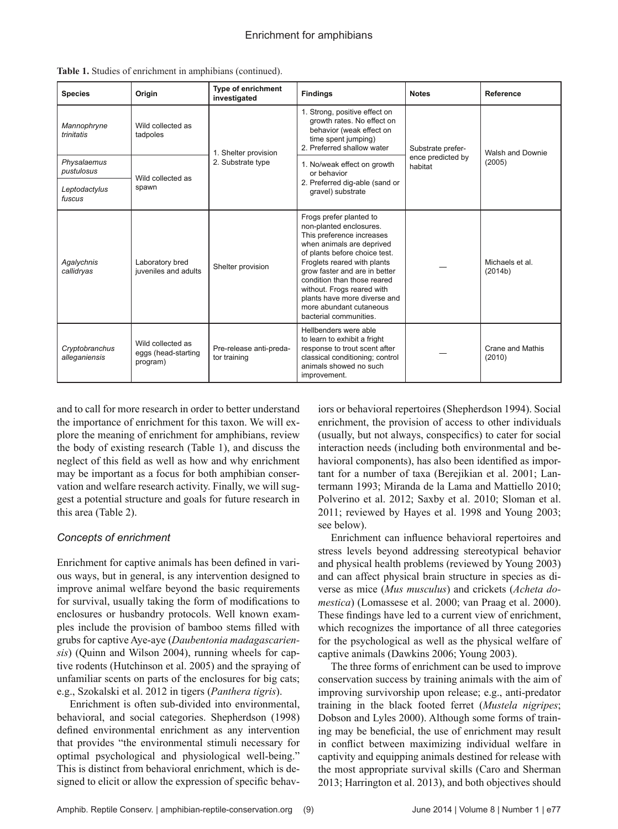| <b>Species</b>                  | Origin                                               | <b>Type of enrichment</b><br>investigated | <b>Findings</b>                                                                                                                                                                                                                                                                                                                                                 | <b>Notes</b>                 | Reference                  |
|---------------------------------|------------------------------------------------------|-------------------------------------------|-----------------------------------------------------------------------------------------------------------------------------------------------------------------------------------------------------------------------------------------------------------------------------------------------------------------------------------------------------------------|------------------------------|----------------------------|
| Mannophryne<br>trinitatis       | Wild collected as<br>tadpoles                        | 1. Shelter provision                      | 1. Strong, positive effect on<br>growth rates. No effect on<br>behavior (weak effect on<br>time spent jumping)<br>2. Preferred shallow water                                                                                                                                                                                                                    | Substrate prefer-            | Walsh and Downie<br>(2005) |
| Physalaemus<br>pustulosus       | Wild collected as                                    | 2. Substrate type                         | 1. No/weak effect on growth<br>or behavior<br>2. Preferred dig-able (sand or<br>gravel) substrate                                                                                                                                                                                                                                                               | ence predicted by<br>habitat |                            |
| Leptodactylus<br>fuscus         | spawn                                                |                                           |                                                                                                                                                                                                                                                                                                                                                                 |                              |                            |
| Agalychnis<br>callidryas        | Laboratory bred<br>juveniles and adults              | Shelter provision                         | Frogs prefer planted to<br>non-planted enclosures.<br>This preference increases<br>when animals are deprived<br>of plants before choice test.<br>Froglets reared with plants<br>grow faster and are in better<br>condition than those reared<br>without. Frogs reared with<br>plants have more diverse and<br>more abundant cutaneous<br>bacterial communities. |                              | Michaels et al.<br>(2014b) |
| Cryptobranchus<br>alleganiensis | Wild collected as<br>eggs (head-starting<br>program) | Pre-release anti-preda-<br>tor training   | Hellbenders were able<br>to learn to exhibit a fright<br>response to trout scent after<br>classical conditioning; control<br>animals showed no such<br>improvement.                                                                                                                                                                                             |                              | Crane and Mathis<br>(2010) |

|  |  |  |  |  | Table 1. Studies of enrichment in amphibians (continued). |  |
|--|--|--|--|--|-----------------------------------------------------------|--|
|--|--|--|--|--|-----------------------------------------------------------|--|

and to call for more research in order to better understand the importance of enrichment for this taxon. We will explore the meaning of enrichment for amphibians, review the body of existing research (Table 1), and discuss the neglect of this field as well as how and why enrichment may be important as a focus for both amphibian conservation and welfare research activity. Finally, we will suggest a potential structure and goals for future research in this area (Table 2).

#### *Concepts of enrichment*

Enrichment for captive animals has been defined in various ways, but in general, is any intervention designed to improve animal welfare beyond the basic requirements for survival, usually taking the form of modifications to enclosures or husbandry protocols. Well known examples include the provision of bamboo stems filled with grubs for captive Aye-aye (*Daubentonia madagascariensis*) (Quinn and Wilson 2004), running wheels for captive rodents (Hutchinson et al. 2005) and the spraying of unfamiliar scents on parts of the enclosures for big cats; e.g., Szokalski et al. 2012 in tigers (*Panthera tigris*).

Enrichment is often sub-divided into environmental, behavioral, and social categories. Shepherdson (1998) defined environmental enrichment as any intervention that provides "the environmental stimuli necessary for optimal psychological and physiological well-being." This is distinct from behavioral enrichment, which is designed to elicit or allow the expression of specific behaviors or behavioral repertoires (Shepherdson 1994). Social enrichment, the provision of access to other individuals (usually, but not always, conspecifics) to cater for social interaction needs (including both environmental and behavioral components), has also been identified as important for a number of taxa (Berejikian et al. 2001; Lantermann 1993; Miranda de la Lama and Mattiello 2010; Polverino et al. 2012; Saxby et al. 2010; Sloman et al. 2011; reviewed by Hayes et al. 1998 and Young 2003; see below).

Enrichment can influence behavioral repertoires and stress levels beyond addressing stereotypical behavior and physical health problems (reviewed by Young 2003) and can affect physical brain structure in species as diverse as mice (*Mus musculus*) and crickets (*Acheta domestica*) (Lomassese et al. 2000; van Praag et al. 2000). These findings have led to a current view of enrichment, which recognizes the importance of all three categories for the psychological as well as the physical welfare of captive animals (Dawkins 2006; Young 2003).

The three forms of enrichment can be used to improve conservation success by training animals with the aim of improving survivorship upon release; e.g., anti-predator training in the black footed ferret (*Mustela nigripes*; Dobson and Lyles 2000). Although some forms of training may be beneficial, the use of enrichment may result in conflict between maximizing individual welfare in captivity and equipping animals destined for release with the most appropriate survival skills (Caro and Sherman 2013; Harrington et al. 2013), and both objectives should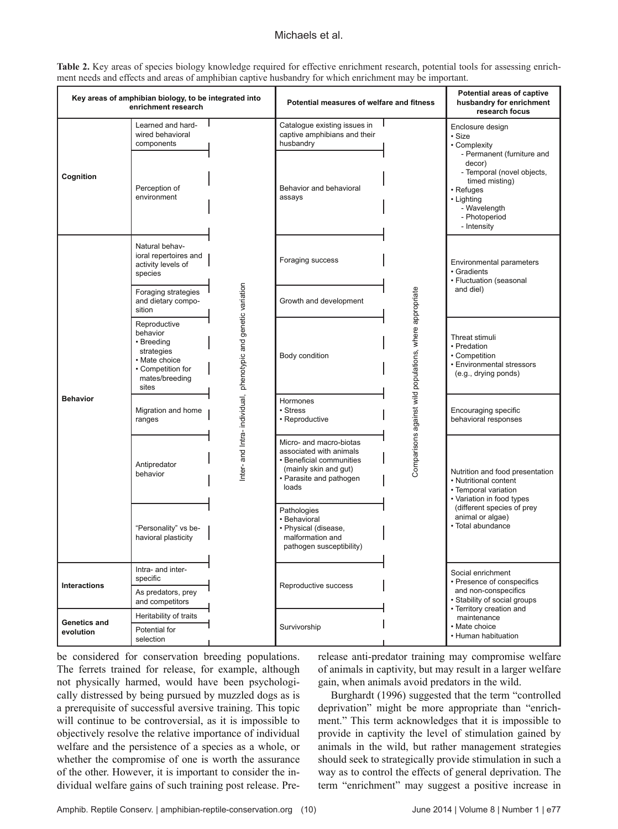#### Michaels et al.

Table 2. Key areas of species biology knowledge required for effective enrichment research, potential tools for assessing enrichment needs and effects and areas of amphibian captive husbandry for which enrichment may be important.

| Key areas of amphibian biology, to be integrated into<br>enrichment research |                                                                                                                       | Potential measures of welfare and fitness                     |                                                                                                                                             | Potential areas of captive<br>husbandry for enrichment<br>research focus |                                                                                                                                                                                      |
|------------------------------------------------------------------------------|-----------------------------------------------------------------------------------------------------------------------|---------------------------------------------------------------|---------------------------------------------------------------------------------------------------------------------------------------------|--------------------------------------------------------------------------|--------------------------------------------------------------------------------------------------------------------------------------------------------------------------------------|
|                                                                              | Learned and hard-<br>wired behavioral<br>components                                                                   |                                                               | Catalogue existing issues in<br>captive amphibians and their<br>husbandry                                                                   |                                                                          | Enclosure design<br>• Size<br>• Complexity                                                                                                                                           |
| Cognition                                                                    | Perception of<br>environment                                                                                          | nter- and Intra- individual, phenotypic and genetic variation | Behavior and behavioral<br>assays                                                                                                           | Comparisons against wild populations, where appropriate                  | - Permanent (furniture and<br>decor)<br>- Temporal (novel objects,<br>timed misting)<br>• Refuges<br>• Lighting<br>- Wavelength<br>- Photoperiod<br>- Intensity                      |
| <b>Behavior</b>                                                              | Natural behav-<br>ioral repertoires and<br>activity levels of<br>species                                              |                                                               | Foraging success                                                                                                                            |                                                                          | Environmental parameters<br>• Gradients<br>• Fluctuation (seasonal<br>and diel)                                                                                                      |
|                                                                              | Foraging strategies<br>and dietary compo-<br>sition                                                                   |                                                               | Growth and development                                                                                                                      |                                                                          |                                                                                                                                                                                      |
|                                                                              | Reproductive<br>behavior<br>• Breeding<br>strategies<br>• Mate choice<br>• Competition for<br>mates/breeding<br>sites |                                                               | Body condition                                                                                                                              |                                                                          | Threat stimuli<br>• Predation<br>• Competition<br>• Environmental stressors<br>(e.g., drying ponds)                                                                                  |
|                                                                              | Migration and home<br>ranges                                                                                          |                                                               | Hormones<br>• Stress<br>• Reproductive                                                                                                      |                                                                          | Encouraging specific<br>behavioral responses                                                                                                                                         |
|                                                                              | Antipredator<br>behavior                                                                                              |                                                               | Micro- and macro-biotas<br>associated with animals<br>• Beneficial communities<br>(mainly skin and gut)<br>• Parasite and pathogen<br>loads |                                                                          | Nutrition and food presentation<br>• Nutritional content<br>• Temporal variation<br>• Variation in food types<br>(different species of prey<br>animal or algae)<br>· Total abundance |
|                                                                              | "Personality" vs be-<br>havioral plasticity                                                                           |                                                               | Pathologies<br>· Behavioral<br>· Physical (disease,<br>malformation and<br>pathogen susceptibility)                                         |                                                                          |                                                                                                                                                                                      |
| Interactions                                                                 | Intra- and inter-<br>specific                                                                                         |                                                               | Reproductive success                                                                                                                        |                                                                          | Social enrichment<br>• Presence of conspecifics<br>and non-conspecifics                                                                                                              |
|                                                                              | As predators, prey<br>and competitors                                                                                 |                                                               |                                                                                                                                             |                                                                          | • Stability of social groups<br>• Territory creation and<br>maintenance<br>• Mate choice                                                                                             |
| Genetics and<br>evolution                                                    | Heritability of traits                                                                                                |                                                               | Survivorship                                                                                                                                |                                                                          |                                                                                                                                                                                      |
|                                                                              | Potential for<br>selection                                                                                            |                                                               |                                                                                                                                             |                                                                          | • Human habituation                                                                                                                                                                  |

be considered for conservation breeding populations. The ferrets trained for release, for example, although not physically harmed, would have been psychologically distressed by being pursued by muzzled dogs as is a prerequisite of successful aversive training. This topic will continue to be controversial, as it is impossible to objectively resolve the relative importance of individual welfare and the persistence of a species as a whole, or whether the compromise of one is worth the assurance of the other. However, it is important to consider the individual welfare gains of such training post release. Pre-

release anti-predator training may compromise welfare of animals in captivity, but may result in a larger welfare gain, when animals avoid predators in the wild.

Burghardt (1996) suggested that the term "controlled deprivation" might be more appropriate than "enrichment." This term acknowledges that it is impossible to provide in captivity the level of stimulation gained by animals in the wild, but rather management strategies should seek to strategically provide stimulation in such a way as to control the effects of general deprivation. The term "enrichment" may suggest a positive increase in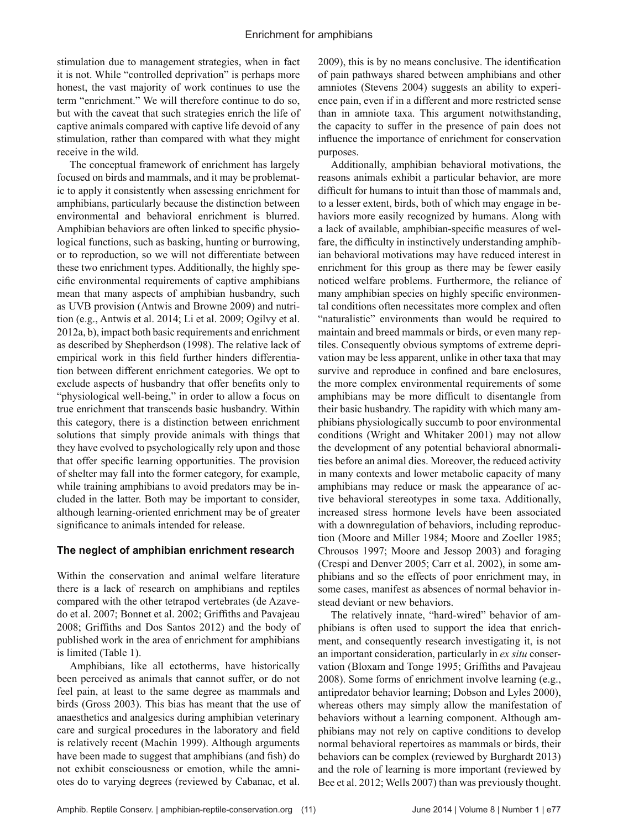stimulation due to management strategies, when in fact it is not. While "controlled deprivation" is perhaps more honest, the vast majority of work continues to use the term "enrichment." We will therefore continue to do so, but with the caveat that such strategies enrich the life of captive animals compared with captive life devoid of any stimulation, rather than compared with what they might receive in the wild.

The conceptual framework of enrichment has largely focused on birds and mammals, and it may be problematic to apply it consistently when assessing enrichment for amphibians, particularly because the distinction between environmental and behavioral enrichment is blurred. Amphibian behaviors are often linked to specific physiological functions, such as basking, hunting or burrowing, or to reproduction, so we will not differentiate between these two enrichment types. Additionally, the highly specific environmental requirements of captive amphibians mean that many aspects of amphibian husbandry, such as UVB provision (Antwis and Browne 2009) and nutrition (e.g., Antwis et al. 2014; Li et al. 2009; Ogilvy et al. 2012a, b), impact both basic requirements and enrichment as described by Shepherdson (1998). The relative lack of empirical work in this field further hinders differentiation between different enrichment categories. We opt to exclude aspects of husbandry that offer benefits only to "physiological well-being," in order to allow a focus on true enrichment that transcends basic husbandry. Within this category, there is a distinction between enrichment solutions that simply provide animals with things that they have evolved to psychologically rely upon and those that offer specific learning opportunities. The provision of shelter may fall into the former category, for example, while training amphibians to avoid predators may be included in the latter. Both may be important to consider, although learning-oriented enrichment may be of greater significance to animals intended for release.

#### **The neglect of amphibian enrichment research**

Within the conservation and animal welfare literature there is a lack of research on amphibians and reptiles compared with the other tetrapod vertebrates (de Azavedo et al. 2007; Bonnet et al. 2002; Griffiths and Pavajeau 2008; Griffiths and Dos Santos 2012) and the body of published work in the area of enrichment for amphibians is limited (Table 1).

Amphibians, like all ectotherms, have historically been perceived as animals that cannot suffer, or do not feel pain, at least to the same degree as mammals and birds (Gross 2003). This bias has meant that the use of anaesthetics and analgesics during amphibian veterinary care and surgical procedures in the laboratory and field is relatively recent (Machin 1999). Although arguments have been made to suggest that amphibians (and fish) do not exhibit consciousness or emotion, while the amniotes do to varying degrees (reviewed by Cabanac, et al.

2009), this is by no means conclusive. The identification of pain pathways shared between amphibians and other amniotes (Stevens 2004) suggests an ability to experience pain, even if in a different and more restricted sense than in amniote taxa. This argument notwithstanding, the capacity to suffer in the presence of pain does not influence the importance of enrichment for conservation purposes.

Additionally, amphibian behavioral motivations, the reasons animals exhibit a particular behavior, are more difficult for humans to intuit than those of mammals and, to a lesser extent, birds, both of which may engage in behaviors more easily recognized by humans. Along with a lack of available, amphibian-specific measures of welfare, the difficulty in instinctively understanding amphibian behavioral motivations may have reduced interest in enrichment for this group as there may be fewer easily noticed welfare problems. Furthermore, the reliance of many amphibian species on highly specific environmental conditions often necessitates more complex and often "naturalistic" environments than would be required to maintain and breed mammals or birds, or even many reptiles. Consequently obvious symptoms of extreme deprivation may be less apparent, unlike in other taxa that may survive and reproduce in confined and bare enclosures, the more complex environmental requirements of some amphibians may be more difficult to disentangle from their basic husbandry. The rapidity with which many amphibians physiologically succumb to poor environmental conditions (Wright and Whitaker 2001) may not allow the development of any potential behavioral abnormalities before an animal dies. Moreover, the reduced activity in many contexts and lower metabolic capacity of many amphibians may reduce or mask the appearance of active behavioral stereotypes in some taxa. Additionally, increased stress hormone levels have been associated with a downregulation of behaviors, including reproduction (Moore and Miller 1984; Moore and Zoeller 1985; Chrousos 1997; Moore and Jessop 2003) and foraging (Crespi and Denver 2005; Carr et al. 2002), in some amphibians and so the effects of poor enrichment may, in some cases, manifest as absences of normal behavior instead deviant or new behaviors.

The relatively innate, "hard-wired" behavior of amphibians is often used to support the idea that enrichment, and consequently research investigating it, is not an important consideration, particularly in *ex situ* conservation (Bloxam and Tonge 1995; Griffiths and Pavajeau 2008). Some forms of enrichment involve learning (e.g., antipredator behavior learning; Dobson and Lyles 2000), whereas others may simply allow the manifestation of behaviors without a learning component. Although amphibians may not rely on captive conditions to develop normal behavioral repertoires as mammals or birds, their behaviors can be complex (reviewed by Burghardt 2013) and the role of learning is more important (reviewed by Bee et al. 2012; Wells 2007) than was previously thought.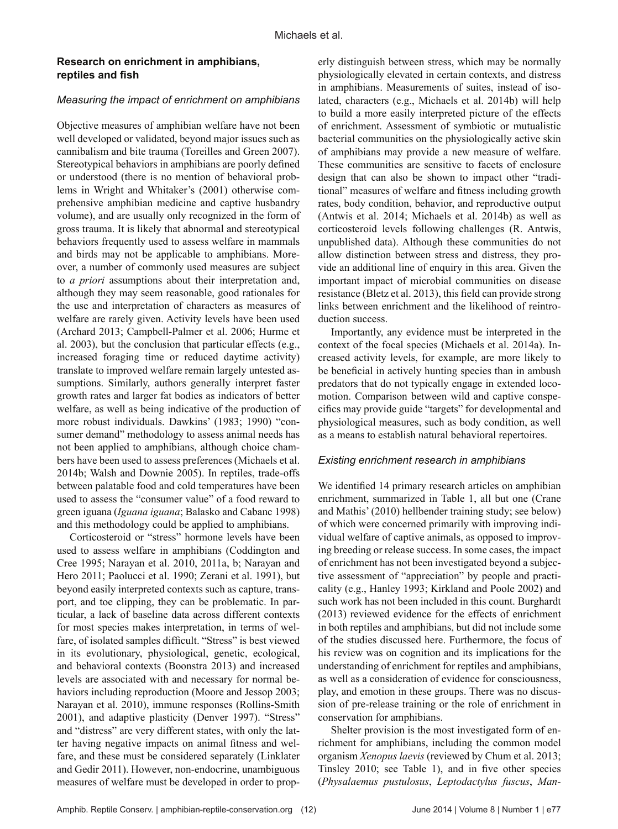#### **Research on enrichment in amphibians, reptiles and fish**

#### *Measuring the impact of enrichment on amphibians*

Objective measures of amphibian welfare have not been well developed or validated, beyond major issues such as cannibalism and bite trauma (Toreilles and Green 2007). Stereotypical behaviors in amphibians are poorly defined or understood (there is no mention of behavioral problems in Wright and Whitaker's (2001) otherwise comprehensive amphibian medicine and captive husbandry volume), and are usually only recognized in the form of gross trauma. It is likely that abnormal and stereotypical behaviors frequently used to assess welfare in mammals and birds may not be applicable to amphibians. Moreover, a number of commonly used measures are subject to *a priori* assumptions about their interpretation and, although they may seem reasonable, good rationales for the use and interpretation of characters as measures of welfare are rarely given. Activity levels have been used (Archard 2013; Campbell-Palmer et al. 2006; Hurme et al. 2003), but the conclusion that particular effects (e.g., increased foraging time or reduced daytime activity) translate to improved welfare remain largely untested assumptions. Similarly, authors generally interpret faster growth rates and larger fat bodies as indicators of better welfare, as well as being indicative of the production of more robust individuals. Dawkins' (1983; 1990) "consumer demand" methodology to assess animal needs has not been applied to amphibians, although choice chambers have been used to assess preferences (Michaels et al. 2014b; Walsh and Downie 2005). In reptiles, trade-offs between palatable food and cold temperatures have been used to assess the "consumer value" of a food reward to green iguana (*Iguana iguana*; Balasko and Cabanc 1998) and this methodology could be applied to amphibians.

Corticosteroid or "stress" hormone levels have been used to assess welfare in amphibians (Coddington and Cree 1995; Narayan et al. 2010, 2011a, b; Narayan and Hero 2011; Paolucci et al. 1990; Zerani et al. 1991), but beyond easily interpreted contexts such as capture, transport, and toe clipping, they can be problematic. In particular, a lack of baseline data across different contexts for most species makes interpretation, in terms of welfare, of isolated samples difficult. "Stress" is best viewed in its evolutionary, physiological, genetic, ecological, and behavioral contexts (Boonstra 2013) and increased levels are associated with and necessary for normal behaviors including reproduction (Moore and Jessop 2003; Narayan et al. 2010), immune responses (Rollins-Smith 2001), and adaptive plasticity (Denver 1997). "Stress" and "distress" are very different states, with only the latter having negative impacts on animal fitness and welfare, and these must be considered separately (Linklater and Gedir 2011). However, non-endocrine, unambiguous measures of welfare must be developed in order to prop-

erly distinguish between stress, which may be normally physiologically elevated in certain contexts, and distress in amphibians. Measurements of suites, instead of isolated, characters (e.g., Michaels et al. 2014b) will help to build a more easily interpreted picture of the effects of enrichment. Assessment of symbiotic or mutualistic bacterial communities on the physiologically active skin of amphibians may provide a new measure of welfare. These communities are sensitive to facets of enclosure design that can also be shown to impact other "traditional" measures of welfare and fitness including growth rates, body condition, behavior, and reproductive output (Antwis et al. 2014; Michaels et al. 2014b) as well as corticosteroid levels following challenges (R. Antwis, unpublished data). Although these communities do not allow distinction between stress and distress, they provide an additional line of enquiry in this area. Given the important impact of microbial communities on disease resistance (Bletz et al. 2013), this field can provide strong links between enrichment and the likelihood of reintroduction success.

Importantly, any evidence must be interpreted in the context of the focal species (Michaels et al. 2014a). Increased activity levels, for example, are more likely to be beneficial in actively hunting species than in ambush predators that do not typically engage in extended locomotion. Comparison between wild and captive conspecifics may provide guide "targets" for developmental and physiological measures, such as body condition, as well as a means to establish natural behavioral repertoires.

#### *Existing enrichment research in amphibians*

We identified 14 primary research articles on amphibian enrichment, summarized in Table 1, all but one (Crane and Mathis' (2010) hellbender training study; see below) of which were concerned primarily with improving individual welfare of captive animals, as opposed to improving breeding or release success. In some cases, the impact of enrichment has not been investigated beyond a subjective assessment of "appreciation" by people and practicality (e.g., Hanley 1993; Kirkland and Poole 2002) and such work has not been included in this count. Burghardt (2013) reviewed evidence for the effects of enrichment in both reptiles and amphibians, but did not include some of the studies discussed here. Furthermore, the focus of his review was on cognition and its implications for the understanding of enrichment for reptiles and amphibians, as well as a consideration of evidence for consciousness, play, and emotion in these groups. There was no discussion of pre-release training or the role of enrichment in conservation for amphibians.

Shelter provision is the most investigated form of enrichment for amphibians, including the common model organism *Xenopus laevis* (reviewed by Chum et al. 2013; Tinsley 2010; see Table 1), and in five other species (*Physalaemus pustulosus*, *Leptodactylus fuscus*, *Man-*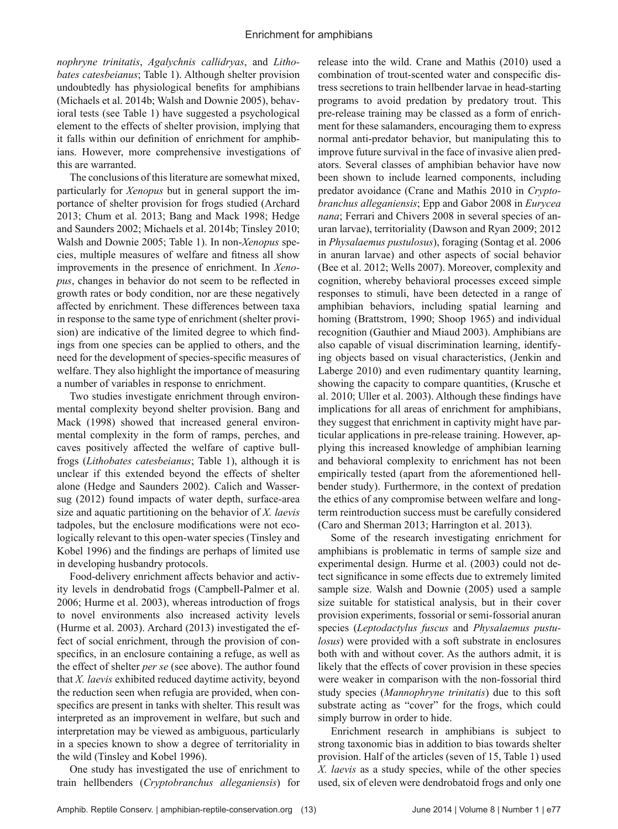*nophryne trinitatis*, *Agalychnis callidryas*, and *Lithobates catesbeianus*; Table 1). Although shelter provision undoubtedly has physiological benefits for amphibians (Michaels et al. 2014b; Walsh and Downie 2005), behavioral tests (see Table 1) have suggested a psychological element to the effects of shelter provision, implying that it falls within our definition of enrichment for amphibians. However, more comprehensive investigations of this are warranted.

The conclusions of this literature are somewhat mixed, particularly for *Xenopus* but in general support the importance of shelter provision for frogs studied (Archard 2013; Chum et al. 2013; Bang and Mack 1998; Hedge and Saunders 2002; Michaels et al. 2014b; Tinsley 2010; Walsh and Downie 2005; Table 1). In non-*Xenopus* species, multiple measures of welfare and fitness all show improvements in the presence of enrichment. In *Xenopus*, changes in behavior do not seem to be reflected in growth rates or body condition, nor are these negatively affected by enrichment. These differences between taxa in response to the same type of enrichment (shelter provision) are indicative of the limited degree to which findings from one species can be applied to others, and the need for the development of species-specific measures of welfare. They also highlight the importance of measuring a number of variables in response to enrichment.

Two studies investigate enrichment through environmental complexity beyond shelter provision. Bang and Mack (1998) showed that increased general environmental complexity in the form of ramps, perches, and caves positively affected the welfare of captive bullfrogs (*Lithobates catesbeianus*; Table 1), although it is unclear if this extended beyond the effects of shelter alone (Hedge and Saunders 2002). Calich and Wassersug (2012) found impacts of water depth, surface-area size and aquatic partitioning on the behavior of *X. laevis* tadpoles, but the enclosure modifications were not ecologically relevant to this open-water species (Tinsley and Kobel 1996) and the findings are perhaps of limited use in developing husbandry protocols.

Food-delivery enrichment affects behavior and activity levels in dendrobatid frogs (Campbell-Palmer et al. 2006; Hurme et al. 2003), whereas introduction of frogs to novel environments also increased activity levels (Hurme et al. 2003). Archard (2013) investigated the effect of social enrichment, through the provision of conspecifics, in an enclosure containing a refuge, as well as the effect of shelter *per se* (see above). The author found that *X. laevis* exhibited reduced daytime activity, beyond the reduction seen when refugia are provided, when conspecifics are present in tanks with shelter. This result was interpreted as an improvement in welfare, but such and interpretation may be viewed as ambiguous, particularly in a species known to show a degree of territoriality in the wild (Tinsley and Kobel 1996).

One study has investigated the use of enrichment to train hellbenders (*Cryptobranchus alleganiensis*) for release into the wild. Crane and Mathis (2010) used a combination of trout-scented water and conspecific distress secretions to train hellbender larvae in head-starting programs to avoid predation by predatory trout. This pre-release training may be classed as a form of enrichment for these salamanders, encouraging them to express normal anti-predator behavior, but manipulating this to improve future survival in the face of invasive alien predators. Several classes of amphibian behavior have now been shown to include learned components, including predator avoidance (Crane and Mathis 2010 in *Cryptobranchus alleganiensis*; Epp and Gabor 2008 in *Eurycea nana*; Ferrari and Chivers 2008 in several species of anuran larvae), territoriality (Dawson and Ryan 2009; 2012 in *Physalaemus pustulosus*), foraging (Sontag et al. 2006 in anuran larvae) and other aspects of social behavior (Bee et al. 2012; Wells 2007). Moreover, complexity and cognition, whereby behavioral processes exceed simple responses to stimuli, have been detected in a range of amphibian behaviors, including spatial learning and homing (Brattstrom, 1990; Shoop 1965) and individual recognition (Gauthier and Miaud 2003). Amphibians are also capable of visual discrimination learning, identifying objects based on visual characteristics, (Jenkin and Laberge 2010) and even rudimentary quantity learning, showing the capacity to compare quantities, (Krusche et al. 2010; Uller et al. 2003). Although these findings have implications for all areas of enrichment for amphibians, they suggest that enrichment in captivity might have particular applications in pre-release training. However, applying this increased knowledge of amphibian learning and behavioral complexity to enrichment has not been empirically tested (apart from the aforementioned hellbender study). Furthermore, in the context of predation the ethics of any compromise between welfare and longterm reintroduction success must be carefully considered (Caro and Sherman 2013; Harrington et al. 2013).

Some of the research investigating enrichment for amphibians is problematic in terms of sample size and experimental design. Hurme et al. (2003) could not detect significance in some effects due to extremely limited sample size. Walsh and Downie (2005) used a sample size suitable for statistical analysis, but in their cover provision experiments, fossorial or semi-fossorial anuran species (*Leptodactylus fuscus* and *Physalaemus pustulosus*) were provided with a soft substrate in enclosures both with and without cover. As the authors admit, it is likely that the effects of cover provision in these species were weaker in comparison with the non-fossorial third study species (*Mannophryne trinitatis*) due to this soft substrate acting as "cover" for the frogs, which could simply burrow in order to hide.

Enrichment research in amphibians is subject to strong taxonomic bias in addition to bias towards shelter provision. Half of the articles (seven of 15, Table 1) used *X. laevis* as a study species, while of the other species used, six of eleven were dendrobatoid frogs and only one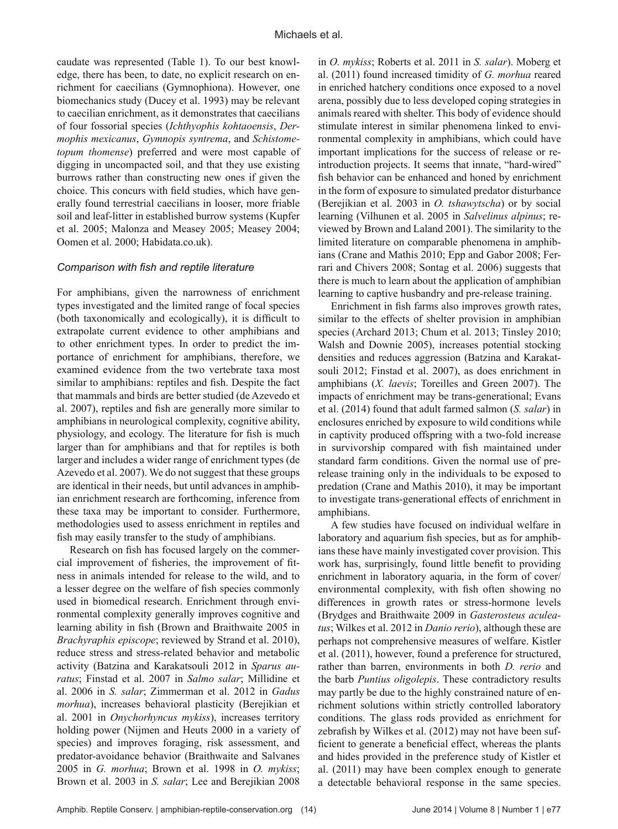caudate was represented (Table 1). To our best knowledge, there has been, to date, no explicit research on enrichment for caecilians (Gymnophiona). However, one biomechanics study (Ducey et al. 1993) may be relevant to caecilian enrichment, as it demonstrates that caecilians of four fossorial species (*Ichthyophis kohtaoensis*, *Dermophis mexicanus*, *Gymnopis syntrema*, and *Schistometopum thomense*) preferred and were most capable of digging in uncompacted soil, and that they use existing burrows rather than constructing new ones if given the choice. This concurs with field studies, which have generally found terrestrial caecilians in looser, more friable soil and leaf-litter in established burrow systems (Kupfer et al. 2005; Malonza and Measey 2005; Measey 2004; Oomen et al. 2000; Habidata.co.uk).

#### *Comparison with fish and reptile literature*

For amphibians, given the narrowness of enrichment types investigated and the limited range of focal species (both taxonomically and ecologically), it is difficult to extrapolate current evidence to other amphibians and to other enrichment types. In order to predict the importance of enrichment for amphibians, therefore, we examined evidence from the two vertebrate taxa most similar to amphibians: reptiles and fish. Despite the fact that mammals and birds are better studied (de Azevedo et al. 2007), reptiles and fish are generally more similar to amphibians in neurological complexity, cognitive ability, physiology, and ecology. The literature for fish is much larger than for amphibians and that for reptiles is both larger and includes a wider range of enrichment types (de Azevedo et al. 2007). We do not suggest that these groups are identical in their needs, but until advances in amphibian enrichment research are forthcoming, inference from these taxa may be important to consider. Furthermore, methodologies used to assess enrichment in reptiles and fish may easily transfer to the study of amphibians.

Research on fish has focused largely on the commercial improvement of fisheries, the improvement of fitness in animals intended for release to the wild, and to a lesser degree on the welfare of fish species commonly used in biomedical research. Enrichment through environmental complexity generally improves cognitive and learning ability in fish (Brown and Braithwaite 2005 in *Brachyraphis episcope*; reviewed by Strand et al. 2010), reduce stress and stress-related behavior and metabolic activity (Batzina and Karakatsouli 2012 in *Sparus auratus*; Finstad et al. 2007 in *Salmo salar*; Millidine et al. 2006 in *S. salar*; Zimmerman et al. 2012 in *Gadus morhua*), increases behavioral plasticity (Berejikian et al. 2001 in *Onychorhyncus mykiss*), increases territory holding power (Nijmen and Heuts 2000 in a variety of species) and improves foraging, risk assessment, and predator-avoidance behavior (Braithwaite and Salvanes 2005 in *G. morhua*; Brown et al. 1998 in *O. mykiss*; Brown et al. 2003 in *S. salar*; Lee and Berejikian 2008

in *O. mykiss*; Roberts et al. 2011 in *S. salar*). Moberg et al. (2011) found increased timidity of *G. morhua* reared in enriched hatchery conditions once exposed to a novel arena, possibly due to less developed coping strategies in animals reared with shelter. This body of evidence should stimulate interest in similar phenomena linked to environmental complexity in amphibians, which could have important implications for the success of release or reintroduction projects. It seems that innate, "hard-wired" fish behavior can be enhanced and honed by enrichment in the form of exposure to simulated predator disturbance (Berejikian et al. 2003 in *O. tshawytscha*) or by social learning (Vilhunen et al. 2005 in *Salvelinus alpinus*; reviewed by Brown and Laland 2001). The similarity to the limited literature on comparable phenomena in amphibians (Crane and Mathis 2010; Epp and Gabor 2008; Ferrari and Chivers 2008; Sontag et al. 2006) suggests that there is much to learn about the application of amphibian learning to captive husbandry and pre-release training.

Enrichment in fish farms also improves growth rates, similar to the effects of shelter provision in amphibian species (Archard 2013; Chum et al. 2013; Tinsley 2010; Walsh and Downie 2005), increases potential stocking densities and reduces aggression (Batzina and Karakatsouli 2012; Finstad et al. 2007), as does enrichment in amphibians (*X. laevis*; Toreilles and Green 2007). The impacts of enrichment may be trans-generational; Evans et al. (2014) found that adult farmed salmon (*S. salar*) in enclosures enriched by exposure to wild conditions while in captivity produced offspring with a two-fold increase in survivorship compared with fish maintained under standard farm conditions. Given the normal use of prerelease training only in the individuals to be exposed to predation (Crane and Mathis 2010), it may be important to investigate trans-generational effects of enrichment in amphibians.

A few studies have focused on individual welfare in laboratory and aquarium fish species, but as for amphibians these have mainly investigated cover provision. This work has, surprisingly, found little benefit to providing enrichment in laboratory aquaria, in the form of cover/ environmental complexity, with fish often showing no differences in growth rates or stress-hormone levels (Brydges and Braithwaite 2009 in *Gasterosteus aculeatus*; Wilkes et al. 2012 in *Danio rerio*), although these are perhaps not comprehensive measures of welfare. Kistler et al. (2011), however, found a preference for structured, rather than barren, environments in both *D. rerio* and the barb *Puntius oligolepis*. These contradictory results may partly be due to the highly constrained nature of enrichment solutions within strictly controlled laboratory conditions. The glass rods provided as enrichment for zebrafish by Wilkes et al. (2012) may not have been sufficient to generate a beneficial effect, whereas the plants and hides provided in the preference study of Kistler et al. (2011) may have been complex enough to generate a detectable behavioral response in the same species.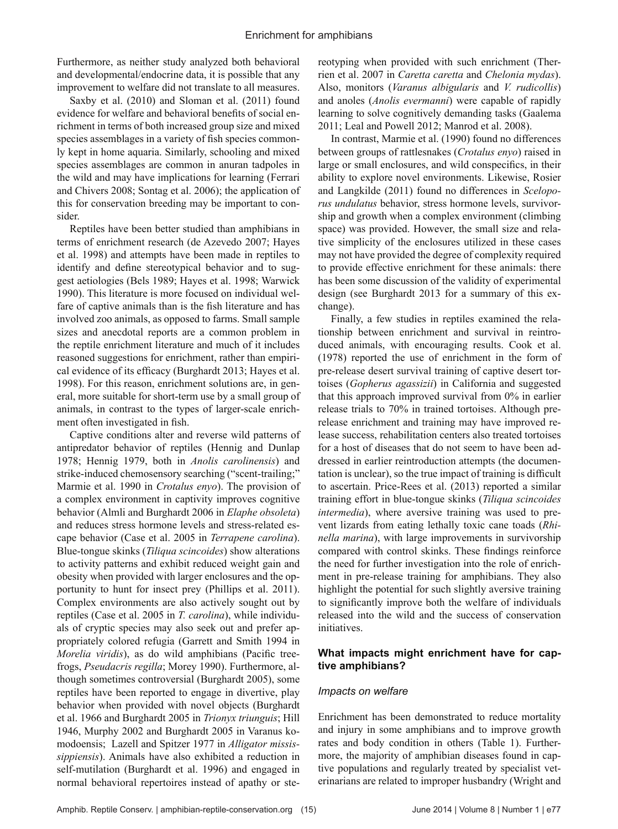Furthermore, as neither study analyzed both behavioral and developmental/endocrine data, it is possible that any improvement to welfare did not translate to all measures.

Saxby et al. (2010) and Sloman et al. (2011) found evidence for welfare and behavioral benefits of social enrichment in terms of both increased group size and mixed species assemblages in a variety of fish species commonly kept in home aquaria. Similarly, schooling and mixed species assemblages are common in anuran tadpoles in the wild and may have implications for learning (Ferrari and Chivers 2008; Sontag et al. 2006); the application of this for conservation breeding may be important to consider.

Reptiles have been better studied than amphibians in terms of enrichment research (de Azevedo 2007; Hayes et al. 1998) and attempts have been made in reptiles to identify and define stereotypical behavior and to suggest aetiologies (Bels 1989; Hayes et al. 1998; Warwick 1990). This literature is more focused on individual welfare of captive animals than is the fish literature and has involved zoo animals, as opposed to farms. Small sample sizes and anecdotal reports are a common problem in the reptile enrichment literature and much of it includes reasoned suggestions for enrichment, rather than empirical evidence of its efficacy (Burghardt 2013; Hayes et al. 1998). For this reason, enrichment solutions are, in general, more suitable for short-term use by a small group of animals, in contrast to the types of larger-scale enrichment often investigated in fish.

Captive conditions alter and reverse wild patterns of antipredator behavior of reptiles (Hennig and Dunlap 1978; Hennig 1979, both in *Anolis carolinensis*) and strike-induced chemosensory searching ("scent-trailing;" Marmie et al. 1990 in *Crotalus enyo*). The provision of a complex environment in captivity improves cognitive behavior (Almli and Burghardt 2006 in *Elaphe obsoleta*) and reduces stress hormone levels and stress-related escape behavior (Case et al. 2005 in *Terrapene carolina*). Blue-tongue skinks (*Tiliqua scincoides*) show alterations to activity patterns and exhibit reduced weight gain and obesity when provided with larger enclosures and the opportunity to hunt for insect prey (Phillips et al. 2011). Complex environments are also actively sought out by reptiles (Case et al. 2005 in *T. carolina*), while individuals of cryptic species may also seek out and prefer appropriately colored refugia (Garrett and Smith 1994 in *Morelia viridis*), as do wild amphibians (Pacific treefrogs, *Pseudacris regilla*; Morey 1990). Furthermore, although sometimes controversial (Burghardt 2005), some reptiles have been reported to engage in divertive, play behavior when provided with novel objects (Burghardt et al. 1966 and Burghardt 2005 in *Trionyx triunguis*; Hill 1946, Murphy 2002 and Burghardt 2005 in Varanus komodoensis; Lazell and Spitzer 1977 in *Alligator mississippiensis*). Animals have also exhibited a reduction in self-mutilation (Burghardt et al. 1996) and engaged in normal behavioral repertoires instead of apathy or stereotyping when provided with such enrichment (Therrien et al. 2007 in *Caretta caretta* and *Chelonia mydas*). Also, monitors (*Varanus albigularis* and *V. rudicollis*) and anoles (*Anolis evermanni*) were capable of rapidly learning to solve cognitively demanding tasks (Gaalema 2011; Leal and Powell 2012; Manrod et al. 2008).

In contrast, Marmie et al. (1990) found no differences between groups of rattlesnakes (*Crotalus enyo*) raised in large or small enclosures, and wild conspecifics, in their ability to explore novel environments. Likewise, Rosier and Langkilde (2011) found no differences in *Sceloporus undulatus* behavior, stress hormone levels, survivorship and growth when a complex environment (climbing space) was provided. However, the small size and relative simplicity of the enclosures utilized in these cases may not have provided the degree of complexity required to provide effective enrichment for these animals: there has been some discussion of the validity of experimental design (see Burghardt 2013 for a summary of this exchange).

Finally, a few studies in reptiles examined the relationship between enrichment and survival in reintroduced animals, with encouraging results. Cook et al. (1978) reported the use of enrichment in the form of pre-release desert survival training of captive desert tortoises (*Gopherus agassizii*) in California and suggested that this approach improved survival from 0% in earlier release trials to 70% in trained tortoises. Although prerelease enrichment and training may have improved release success, rehabilitation centers also treated tortoises for a host of diseases that do not seem to have been addressed in earlier reintroduction attempts (the documentation is unclear), so the true impact of training is difficult to ascertain. Price-Rees et al. (2013) reported a similar training effort in blue-tongue skinks (*Tiliqua scincoides intermedia*), where aversive training was used to prevent lizards from eating lethally toxic cane toads (*Rhinella marina*), with large improvements in survivorship compared with control skinks. These findings reinforce the need for further investigation into the role of enrichment in pre-release training for amphibians. They also highlight the potential for such slightly aversive training to significantly improve both the welfare of individuals released into the wild and the success of conservation initiatives.

### **What impacts might enrichment have for captive amphibians?**

#### *Impacts on welfare*

Enrichment has been demonstrated to reduce mortality and injury in some amphibians and to improve growth rates and body condition in others (Table 1). Furthermore, the majority of amphibian diseases found in captive populations and regularly treated by specialist veterinarians are related to improper husbandry (Wright and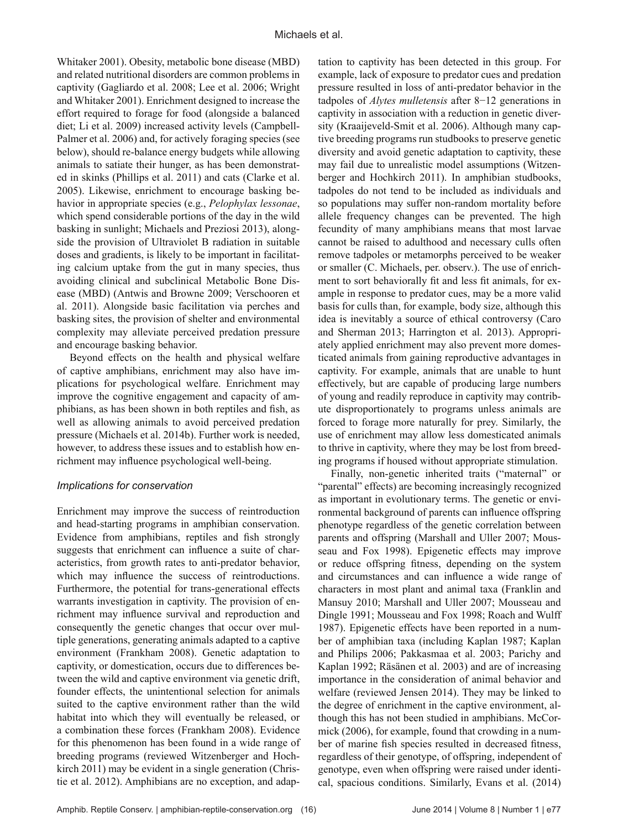Whitaker 2001). Obesity, metabolic bone disease (MBD) and related nutritional disorders are common problems in captivity (Gagliardo et al. 2008; Lee et al. 2006; Wright and Whitaker 2001). Enrichment designed to increase the effort required to forage for food (alongside a balanced diet; Li et al. 2009) increased activity levels (Campbell-Palmer et al. 2006) and, for actively foraging species (see below), should re-balance energy budgets while allowing animals to satiate their hunger, as has been demonstrated in skinks (Phillips et al. 2011) and cats (Clarke et al. 2005). Likewise, enrichment to encourage basking behavior in appropriate species (e.g., *Pelophylax lessonae*, which spend considerable portions of the day in the wild basking in sunlight; Michaels and Preziosi 2013), alongside the provision of Ultraviolet B radiation in suitable doses and gradients, is likely to be important in facilitating calcium uptake from the gut in many species, thus avoiding clinical and subclinical Metabolic Bone Disease (MBD) (Antwis and Browne 2009; Verschooren et al. 2011). Alongside basic facilitation via perches and basking sites, the provision of shelter and environmental complexity may alleviate perceived predation pressure and encourage basking behavior.

Beyond effects on the health and physical welfare of captive amphibians, enrichment may also have implications for psychological welfare. Enrichment may improve the cognitive engagement and capacity of amphibians, as has been shown in both reptiles and fish, as well as allowing animals to avoid perceived predation pressure (Michaels et al. 2014b). Further work is needed, however, to address these issues and to establish how enrichment may influence psychological well-being.

#### *Implications for conservation*

Enrichment may improve the success of reintroduction and head-starting programs in amphibian conservation. Evidence from amphibians, reptiles and fish strongly suggests that enrichment can influence a suite of characteristics, from growth rates to anti-predator behavior, which may influence the success of reintroductions. Furthermore, the potential for trans-generational effects warrants investigation in captivity. The provision of enrichment may influence survival and reproduction and consequently the genetic changes that occur over multiple generations, generating animals adapted to a captive environment (Frankham 2008). Genetic adaptation to captivity, or domestication, occurs due to differences between the wild and captive environment via genetic drift, founder effects, the unintentional selection for animals suited to the captive environment rather than the wild habitat into which they will eventually be released, or a combination these forces (Frankham 2008). Evidence for this phenomenon has been found in a wide range of breeding programs (reviewed Witzenberger and Hochkirch 2011) may be evident in a single generation (Christie et al. 2012). Amphibians are no exception, and adap-

tation to captivity has been detected in this group. For example, lack of exposure to predator cues and predation pressure resulted in loss of anti-predator behavior in the tadpoles of *Alytes mulletensis* after 8−12 generations in captivity in association with a reduction in genetic diversity (Kraaijeveld-Smit et al. 2006). Although many captive breeding programs run studbooks to preserve genetic diversity and avoid genetic adaptation to captivity, these may fail due to unrealistic model assumptions (Witzenberger and Hochkirch 2011). In amphibian studbooks, tadpoles do not tend to be included as individuals and so populations may suffer non-random mortality before allele frequency changes can be prevented. The high fecundity of many amphibians means that most larvae cannot be raised to adulthood and necessary culls often remove tadpoles or metamorphs perceived to be weaker or smaller (C. Michaels, per. observ.). The use of enrichment to sort behaviorally fit and less fit animals, for example in response to predator cues, may be a more valid basis for culls than, for example, body size, although this idea is inevitably a source of ethical controversy (Caro and Sherman 2013; Harrington et al. 2013). Appropriately applied enrichment may also prevent more domesticated animals from gaining reproductive advantages in captivity. For example, animals that are unable to hunt effectively, but are capable of producing large numbers of young and readily reproduce in captivity may contribute disproportionately to programs unless animals are forced to forage more naturally for prey. Similarly, the use of enrichment may allow less domesticated animals to thrive in captivity, where they may be lost from breeding programs if housed without appropriate stimulation.

Finally, non-genetic inherited traits ("maternal" or "parental" effects) are becoming increasingly recognized as important in evolutionary terms. The genetic or environmental background of parents can influence offspring phenotype regardless of the genetic correlation between parents and offspring (Marshall and Uller 2007; Mousseau and Fox 1998). Epigenetic effects may improve or reduce offspring fitness, depending on the system and circumstances and can influence a wide range of characters in most plant and animal taxa (Franklin and Mansuy 2010; Marshall and Uller 2007; Mousseau and Dingle 1991; Mousseau and Fox 1998; Roach and Wulff 1987). Epigenetic effects have been reported in a number of amphibian taxa (including Kaplan 1987; Kaplan and Philips 2006; Pakkasmaa et al. 2003; Parichy and Kaplan 1992; Räsänen et al. 2003) and are of increasing importance in the consideration of animal behavior and welfare (reviewed Jensen 2014). They may be linked to the degree of enrichment in the captive environment, although this has not been studied in amphibians. McCormick (2006), for example, found that crowding in a number of marine fish species resulted in decreased fitness, regardless of their genotype, of offspring, independent of genotype, even when offspring were raised under identical, spacious conditions. Similarly, Evans et al. (2014)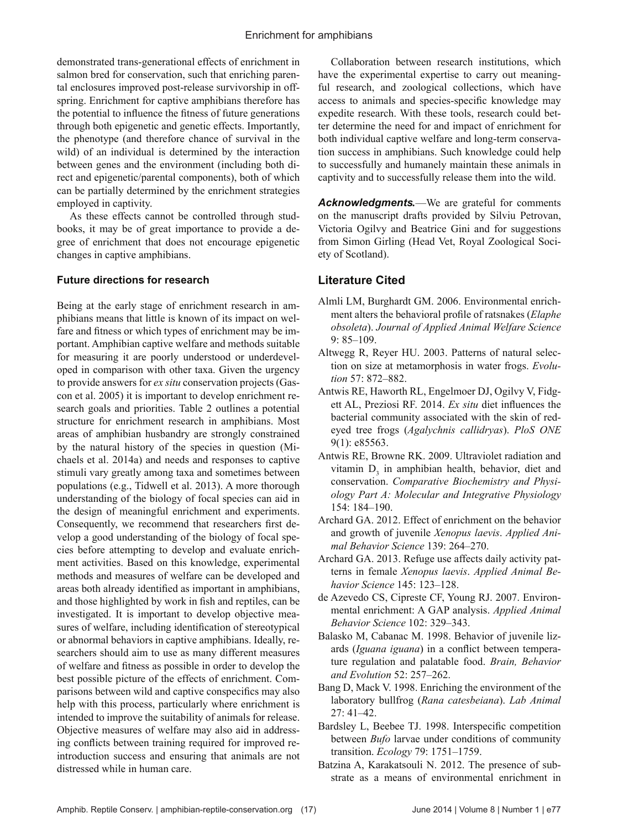demonstrated trans-generational effects of enrichment in salmon bred for conservation, such that enriching parental enclosures improved post-release survivorship in offspring. Enrichment for captive amphibians therefore has the potential to influence the fitness of future generations through both epigenetic and genetic effects. Importantly, the phenotype (and therefore chance of survival in the wild) of an individual is determined by the interaction between genes and the environment (including both direct and epigenetic/parental components), both of which can be partially determined by the enrichment strategies employed in captivity.

As these effects cannot be controlled through studbooks, it may be of great importance to provide a degree of enrichment that does not encourage epigenetic changes in captive amphibians.

#### **Future directions for research**

Being at the early stage of enrichment research in amphibians means that little is known of its impact on welfare and fitness or which types of enrichment may be important. Amphibian captive welfare and methods suitable for measuring it are poorly understood or underdeveloped in comparison with other taxa. Given the urgency to provide answers for *ex situ* conservation projects (Gascon et al. 2005) it is important to develop enrichment research goals and priorities. Table 2 outlines a potential structure for enrichment research in amphibians. Most areas of amphibian husbandry are strongly constrained by the natural history of the species in question (Michaels et al. 2014a) and needs and responses to captive stimuli vary greatly among taxa and sometimes between populations (e.g., Tidwell et al. 2013). A more thorough understanding of the biology of focal species can aid in the design of meaningful enrichment and experiments. Consequently, we recommend that researchers first develop a good understanding of the biology of focal species before attempting to develop and evaluate enrichment activities. Based on this knowledge, experimental methods and measures of welfare can be developed and areas both already identified as important in amphibians, and those highlighted by work in fish and reptiles, can be investigated. It is important to develop objective measures of welfare, including identification of stereotypical or abnormal behaviors in captive amphibians. Ideally, researchers should aim to use as many different measures of welfare and fitness as possible in order to develop the best possible picture of the effects of enrichment. Comparisons between wild and captive conspecifics may also help with this process, particularly where enrichment is intended to improve the suitability of animals for release. Objective measures of welfare may also aid in addressing conflicts between training required for improved reintroduction success and ensuring that animals are not distressed while in human care.

Collaboration between research institutions, which have the experimental expertise to carry out meaningful research, and zoological collections, which have access to animals and species-specific knowledge may expedite research. With these tools, research could better determine the need for and impact of enrichment for both individual captive welfare and long-term conservation success in amphibians. Such knowledge could help to successfully and humanely maintain these animals in captivity and to successfully release them into the wild.

*Acknowledgments.*—We are grateful for comments on the manuscript drafts provided by Silviu Petrovan, Victoria Ogilvy and Beatrice Gini and for suggestions from Simon Girling (Head Vet, Royal Zoological Society of Scotland).

## **Literature Cited**

- Almli LM, Burghardt GM. 2006. Environmental enrichment alters the behavioral profile of ratsnakes (*Elaphe obsoleta*). *Journal of Applied Animal Welfare Science*  9: 85–109.
- Altwegg R, Reyer HU. 2003. Patterns of natural selection on size at metamorphosis in water frogs. *Evolution* 57: 872–882.
- Antwis RE, Haworth RL, Engelmoer DJ, Ogilvy V, Fidgett AL, Preziosi RF. 2014. *Ex situ* diet influences the bacterial community associated with the skin of redeyed tree frogs (*Agalychnis callidryas*). *PloS ONE*  9(1): e85563.
- Antwis RE, Browne RK. 2009. Ultraviolet radiation and vitamin  $D_3$  in amphibian health, behavior, diet and conservation. *Comparative Biochemistry and Physiology Part A: Molecular and Integrative Physiology*  154: 184–190.
- Archard GA. 2012. Effect of enrichment on the behavior and growth of juvenile *Xenopus laevis*. *Applied Animal Behavior Science* 139: 264–270.
- Archard GA. 2013. Refuge use affects daily activity patterns in female *Xenopus laevis*. *Applied Animal Behavior Science* 145: 123–128.
- de Azevedo CS, Cipreste CF, Young RJ. 2007. Environmental enrichment: A GAP analysis. *Applied Animal Behavior Science* 102: 329–343.
- Balasko M, Cabanac M. 1998. Behavior of juvenile lizards (*Iguana iguana*) in a conflict between temperature regulation and palatable food. *Brain, Behavior and Evolution* 52: 257–262.
- Bang D, Mack V. 1998. Enriching the environment of the laboratory bullfrog (*Rana catesbeiana*). *Lab Animal*  27: 41–42.
- Bardsley L, Beebee TJ. 1998. Interspecific competition between *Bufo* larvae under conditions of community transition. *Ecology* 79: 1751–1759.
- Batzina A, Karakatsouli N. 2012. The presence of substrate as a means of environmental enrichment in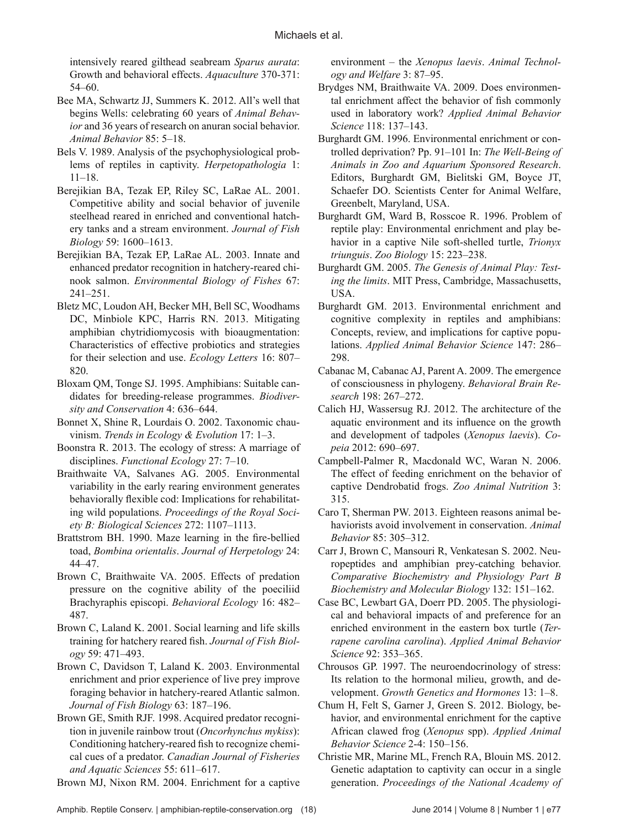intensively reared gilthead seabream *Sparus aurata*: Growth and behavioral effects. *Aquaculture* 370-371: 54–60.

- Bee MA, Schwartz JJ, Summers K. 2012. All's well that begins Wells: celebrating 60 years of *Animal Behavior* and 36 years of research on anuran social behavior. *Animal Behavior* 85: 5–18.
- Bels V. 1989. Analysis of the psychophysiological problems of reptiles in captivity. *Herpetopathologia* 1: 11–18.
- Berejikian BA, Tezak EP, Riley SC, LaRae AL. 2001. Competitive ability and social behavior of juvenile steelhead reared in enriched and conventional hatchery tanks and a stream environment. *Journal of Fish Biology* 59: 1600–1613.
- Berejikian BA, Tezak EP, LaRae AL. 2003. Innate and enhanced predator recognition in hatchery-reared chinook salmon. *Environmental Biology of Fishes* 67: 241–251.
- Bletz MC, Loudon AH, Becker MH, Bell SC, Woodhams DC, Minbiole KPC, Harris RN. 2013. Mitigating amphibian chytridiomycosis with bioaugmentation: Characteristics of effective probiotics and strategies for their selection and use. *Ecology Letters* 16: 807– 820.
- Bloxam QM, Tonge SJ. 1995. Amphibians: Suitable candidates for breeding-release programmes. *Biodiversity and Conservation* 4: 636–644.
- Bonnet X, Shine R, Lourdais O. 2002. Taxonomic chauvinism. *Trends in Ecology & Evolution* 17: 1–3.
- Boonstra R. 2013. The ecology of stress: A marriage of disciplines. *Functional Ecology* 27: 7–10.
- Braithwaite VA, Salvanes AG. 2005. Environmental variability in the early rearing environment generates behaviorally flexible cod: Implications for rehabilitating wild populations. *Proceedings of the Royal Society B: Biological Sciences* 272: 1107–1113.
- Brattstrom BH. 1990. Maze learning in the fire-bellied toad, *Bombina orientalis*. *Journal of Herpetology* 24: 44–47.
- Brown C, Braithwaite VA. 2005. Effects of predation pressure on the cognitive ability of the poeciliid Brachyraphis episcopi. *Behavioral Ecology* 16: 482– 487.
- Brown C, Laland K. 2001. Social learning and life skills training for hatchery reared fish. *Journal of Fish Biology* 59: 471–493.
- Brown C, Davidson T, Laland K. 2003. Environmental enrichment and prior experience of live prey improve foraging behavior in hatchery-reared Atlantic salmon. *Journal of Fish Biology* 63: 187–196.
- Brown GE, Smith RJF. 1998. Acquired predator recognition in juvenile rainbow trout (*Oncorhynchus mykiss*): Conditioning hatchery-reared fish to recognize chemical cues of a predator. *Canadian Journal of Fisheries and Aquatic Sciences* 55: 611–617.

Brown MJ, Nixon RM. 2004. Enrichment for a captive

environment – the *Xenopus laevis*. *Animal Technology and Welfare* 3: 87–95.

- Brydges NM, Braithwaite VA. 2009. Does environmental enrichment affect the behavior of fish commonly used in laboratory work? *Applied Animal Behavior Science* 118: 137–143.
- Burghardt GM. 1996. Environmental enrichment or controlled deprivation? Pp. 91–101 In: *The Well-Being of Animals in Zoo and Aquarium Sponsored Research*. Editors, Burghardt GM, Bielitski GM, Boyce JT, Schaefer DO. Scientists Center for Animal Welfare, Greenbelt, Maryland, USA.
- Burghardt GM, Ward B, Rosscoe R. 1996. Problem of reptile play: Environmental enrichment and play behavior in a captive Nile soft-shelled turtle, *Trionyx triunguis*. *Zoo Biology* 15: 223–238.
- Burghardt GM. 2005. *The Genesis of Animal Play: Testing the limits*. MIT Press, Cambridge, Massachusetts, USA.
- Burghardt GM. 2013. Environmental enrichment and cognitive complexity in reptiles and amphibians: Concepts, review, and implications for captive populations. *Applied Animal Behavior Science* 147: 286– 298.
- Cabanac M, Cabanac AJ, Parent A. 2009. The emergence of consciousness in phylogeny. *Behavioral Brain Research* 198: 267–272.
- Calich HJ, Wassersug RJ. 2012. The architecture of the aquatic environment and its influence on the growth and development of tadpoles (*Xenopus laevis*). *Copeia* 2012: 690–697.
- Campbell-Palmer R, Macdonald WC, Waran N. 2006. The effect of feeding enrichment on the behavior of captive Dendrobatid frogs. *Zoo Animal Nutrition* 3: 315.
- Caro T, Sherman PW. 2013. Eighteen reasons animal behaviorists avoid involvement in conservation. *Animal Behavior* 85: 305–312.
- Carr J, Brown C, Mansouri R, Venkatesan S. 2002. Neuropeptides and amphibian prey-catching behavior. *Comparative Biochemistry and Physiology Part B Biochemistry and Molecular Biology* 132: 151–162.
- Case BC, Lewbart GA, Doerr PD. 2005. The physiological and behavioral impacts of and preference for an enriched environment in the eastern box turtle (*Terrapene carolina carolina*). *Applied Animal Behavior Science* 92: 353–365.
- Chrousos GP. 1997. The neuroendocrinology of stress: Its relation to the hormonal milieu, growth, and development. *Growth Genetics and Hormones* 13: 1–8.
- Chum H, Felt S, Garner J, Green S. 2012. Biology, behavior, and environmental enrichment for the captive African clawed frog (*Xenopus* spp). *Applied Animal Behavior Science* 2-4: 150–156.
- Christie MR, Marine ML, French RA, Blouin MS. 2012. Genetic adaptation to captivity can occur in a single generation. *Proceedings of the National Academy of*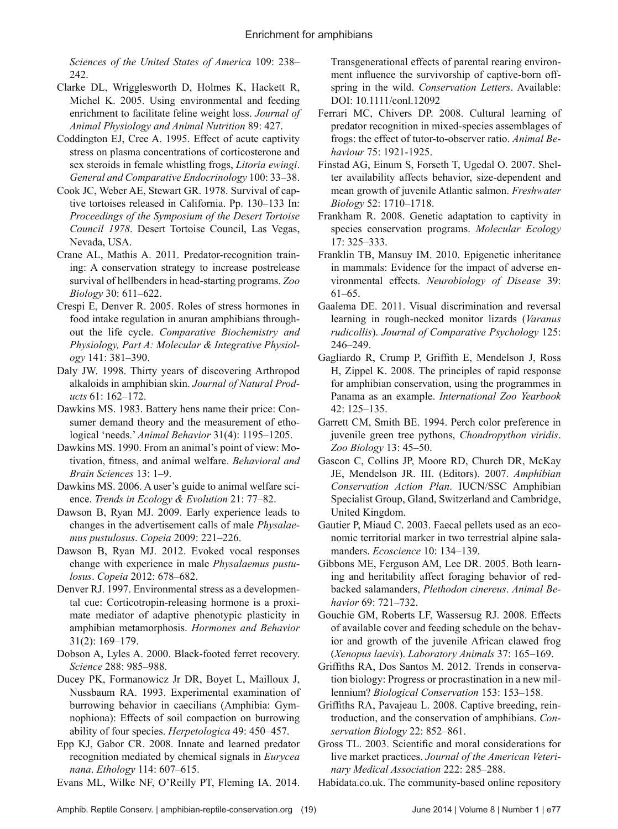*Sciences of the United States of America* 109: 238– 242.

- Clarke DL, Wrigglesworth D, Holmes K, Hackett R, Michel K. 2005. Using environmental and feeding enrichment to facilitate feline weight loss. *Journal of Animal Physiology and Animal Nutrition* 89: 427.
- Coddington EJ, Cree A. 1995. Effect of acute captivity stress on plasma concentrations of corticosterone and sex steroids in female whistling frogs, *Litoria ewingi*. *General and Comparative Endocrinology* 100: 33–38.
- Cook JC, Weber AE, Stewart GR. 1978. Survival of captive tortoises released in California. Pp. 130–133 In: *Proceedings of the Symposium of the Desert Tortoise Council 1978*. Desert Tortoise Council, Las Vegas, Nevada, USA.
- Crane AL, Mathis A. 2011. Predator-recognition training: A conservation strategy to increase postrelease survival of hellbenders in head-starting programs. *Zoo Biology* 30: 611–622.
- Crespi E, Denver R. 2005. Roles of stress hormones in food intake regulation in anuran amphibians throughout the life cycle. *Comparative Biochemistry and Physiology, Part A: Molecular & Integrative Physiology* 141: 381–390.
- Daly JW. 1998. Thirty years of discovering Arthropod alkaloids in amphibian skin. *Journal of Natural Products* 61: 162–172.
- Dawkins MS. 1983. Battery hens name their price: Consumer demand theory and the measurement of ethological 'needs.' *Animal Behavior* 31(4): 1195–1205.
- Dawkins MS. 1990. From an animal's point of view: Motivation, fitness, and animal welfare. *Behavioral and Brain Sciences* 13: 1–9.
- Dawkins MS. 2006. A user's guide to animal welfare science. *Trends in Ecology & Evolution* 21: 77–82.
- Dawson B, Ryan MJ. 2009. Early experience leads to changes in the advertisement calls of male *Physalaemus pustulosus*. *Copeia* 2009: 221–226.
- Dawson B, Ryan MJ. 2012. Evoked vocal responses change with experience in male *Physalaemus pustulosus*. *Copeia* 2012: 678–682.
- Denver RJ. 1997. Environmental stress as a developmental cue: Corticotropin-releasing hormone is a proximate mediator of adaptive phenotypic plasticity in amphibian metamorphosis. *Hormones and Behavior*  31(2): 169–179.
- Dobson A, Lyles A. 2000. Black-footed ferret recovery. *Science* 288: 985–988.
- Ducey PK, Formanowicz Jr DR, Boyet L, Mailloux J, Nussbaum RA. 1993. Experimental examination of burrowing behavior in caecilians (Amphibia: Gymnophiona): Effects of soil compaction on burrowing ability of four species. *Herpetologica* 49: 450–457.
- Epp KJ, Gabor CR. 2008. Innate and learned predator recognition mediated by chemical signals in *Eurycea nana*. *Ethology* 114: 607–615.
- Evans ML, Wilke NF, O'Reilly PT, Fleming IA. 2014.

Transgenerational effects of parental rearing environment influence the survivorship of captive-born offspring in the wild. *Conservation Letters*. Available: DOI: 10.1111/conl.12092

- Ferrari MC, Chivers DP. 2008. Cultural learning of predator recognition in mixed-species assemblages of frogs: the effect of tutor-to-observer ratio. *Animal Behaviour* 75: 1921-1925.
- Finstad AG, Einum S, Forseth T, Ugedal O. 2007. Shelter availability affects behavior, size-dependent and mean growth of juvenile Atlantic salmon. *Freshwater Biology* 52: 1710–1718.
- Frankham R. 2008. Genetic adaptation to captivity in species conservation programs. *Molecular Ecology*  17: 325–333.
- Franklin TB, Mansuy IM. 2010. Epigenetic inheritance in mammals: Evidence for the impact of adverse environmental effects. *Neurobiology of Disease* 39: 61–65.
- Gaalema DE. 2011. Visual discrimination and reversal learning in rough-necked monitor lizards (*Varanus rudicollis*). *Journal of Comparative Psychology* 125: 246–249.
- Gagliardo R, Crump P, Griffith E, Mendelson J, Ross H, Zippel K. 2008. The principles of rapid response for amphibian conservation, using the programmes in Panama as an example. *International Zoo Yearbook*  42: 125–135.
- Garrett CM, Smith BE. 1994. Perch color preference in juvenile green tree pythons, *Chondropython viridis*. *Zoo Biology* 13: 45–50.
- Gascon C, Collins JP, Moore RD, Church DR, McKay JE, Mendelson JR. III. (Editors). 2007. *Amphibian Conservation Action Plan*. IUCN/SSC Amphibian Specialist Group, Gland, Switzerland and Cambridge, United Kingdom.
- Gautier P, Miaud C. 2003. Faecal pellets used as an economic territorial marker in two terrestrial alpine salamanders. *Ecoscience* 10: 134–139.
- Gibbons ME, Ferguson AM, Lee DR. 2005. Both learning and heritability affect foraging behavior of redbacked salamanders, *Plethodon cinereus*. *Animal Behavior* 69: 721–732.
- Gouchie GM, Roberts LF, Wassersug RJ. 2008. Effects of available cover and feeding schedule on the behavior and growth of the juvenile African clawed frog (*Xenopus laevis*). *Laboratory Animals* 37: 165–169.
- Griffiths RA, Dos Santos M. 2012. Trends in conservation biology: Progress or procrastination in a new millennium? *Biological Conservation* 153: 153–158.
- Griffiths RA, Pavajeau L. 2008. Captive breeding, reintroduction, and the conservation of amphibians. *Conservation Biology* 22: 852–861.
- Gross TL. 2003. Scientific and moral considerations for live market practices. *Journal of the American Veterinary Medical Association* 222: 285–288.
- Habidata.co.uk. The community-based online repository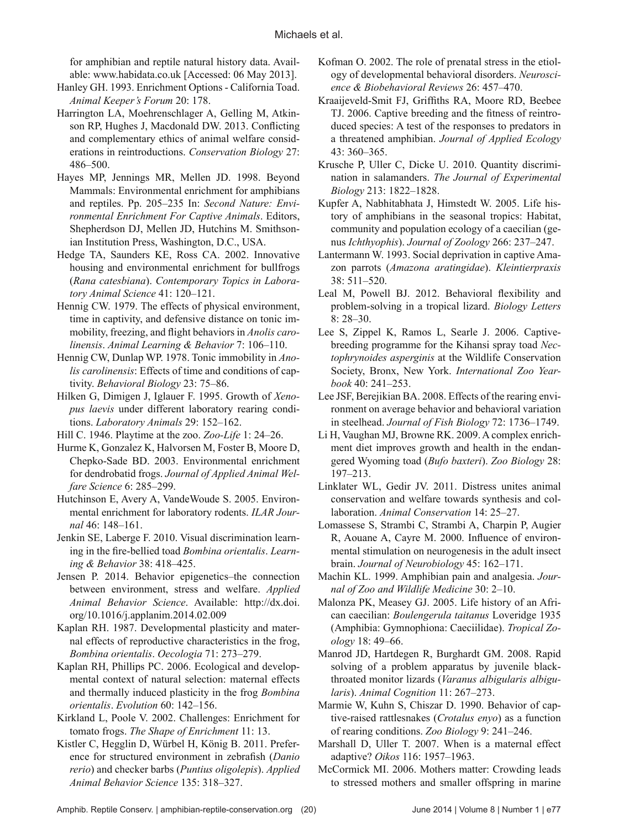for amphibian and reptile natural history data. Available: www.habidata.co.uk [Accessed: 06 May 2013].

- Hanley GH. 1993. Enrichment Options California Toad. *Animal Keeper's Forum* 20: 178.
- Harrington LA, Moehrenschlager A, Gelling M, Atkinson RP, Hughes J, Macdonald DW. 2013. Conflicting and complementary ethics of animal welfare considerations in reintroductions. *Conservation Biology* 27: 486–500.
- Hayes MP, Jennings MR, Mellen JD. 1998. Beyond Mammals: Environmental enrichment for amphibians and reptiles. Pp. 205–235 In: *Second Nature: Environmental Enrichment For Captive Animals*. Editors, Shepherdson DJ, Mellen JD, Hutchins M. Smithsonian Institution Press, Washington, D.C., USA.
- Hedge TA, Saunders KE, Ross CA. 2002. Innovative housing and environmental enrichment for bullfrogs (*Rana catesbiana*). *Contemporary Topics in Laboratory Animal Science* 41: 120–121.
- Hennig CW. 1979. The effects of physical environment, time in captivity, and defensive distance on tonic immobility, freezing, and flight behaviors in *Anolis carolinensis*. *Animal Learning & Behavior* 7: 106–110.
- Hennig CW, Dunlap WP. 1978. Tonic immobility in *Anolis carolinensis*: Effects of time and conditions of captivity. *Behavioral Biology* 23: 75–86.
- Hilken G, Dimigen J, Iglauer F. 1995. Growth of *Xenopus laevis* under different laboratory rearing conditions. *Laboratory Animals* 29: 152–162.
- Hill C. 1946. Playtime at the zoo. *Zoo-Life* 1: 24–26.
- Hurme K, Gonzalez K, Halvorsen M, Foster B, Moore D, Chepko-Sade BD. 2003. Environmental enrichment for dendrobatid frogs. *Journal of Applied Animal Welfare Science* 6: 285–299.
- Hutchinson E, Avery A, VandeWoude S. 2005. Environmental enrichment for laboratory rodents. *ILAR Journal* 46: 148–161.
- Jenkin SE, Laberge F. 2010. Visual discrimination learning in the fire-bellied toad *Bombina orientalis*. *Learning & Behavior* 38: 418–425.
- Jensen P. 2014. Behavior epigenetics–the connection between environment, stress and welfare. *Applied Animal Behavior Science*. Available: http://dx.doi. org/10.1016/j.applanim.2014.02.009
- Kaplan RH. 1987. Developmental plasticity and maternal effects of reproductive characteristics in the frog, *Bombina orientalis*. *Oecologia* 71: 273–279.
- Kaplan RH, Phillips PC. 2006. Ecological and developmental context of natural selection: maternal effects and thermally induced plasticity in the frog *Bombina orientalis*. *Evolution* 60: 142–156.
- Kirkland L, Poole V. 2002. Challenges: Enrichment for tomato frogs. *The Shape of Enrichment* 11: 13.
- Kistler C, Hegglin D, Würbel H, König B. 2011. Preference for structured environment in zebrafish (*Danio rerio*) and checker barbs (*Puntius oligolepis*). *Applied Animal Behavior Science* 135: 318–327.
- Kofman O. 2002. The role of prenatal stress in the etiology of developmental behavioral disorders. *Neuroscience & Biobehavioral Reviews* 26: 457–470.
- Kraaijeveld-Smit FJ, Griffiths RA, Moore RD, Beebee TJ. 2006. Captive breeding and the fitness of reintroduced species: A test of the responses to predators in a threatened amphibian. *Journal of Applied Ecology*  43: 360–365.
- Krusche P, Uller C, Dicke U. 2010. Quantity discrimination in salamanders. *The Journal of Experimental Biology* 213: 1822–1828.
- Kupfer A, Nabhitabhata J, Himstedt W. 2005. Life history of amphibians in the seasonal tropics: Habitat, community and population ecology of a caecilian (genus *Ichthyophis*). *Journal of Zoology* 266: 237–247.
- Lantermann W. 1993. Social deprivation in captive Amazon parrots (*Amazona aratingidae*). *Kleintierpraxis* 38: 511–520.
- Leal M, Powell BJ. 2012. Behavioral flexibility and problem-solving in a tropical lizard. *Biology Letters*  8: 28–30.
- Lee S, Zippel K, Ramos L, Searle J. 2006. Captivebreeding programme for the Kihansi spray toad *Nectophrynoides asperginis* at the Wildlife Conservation Society, Bronx, New York. *International Zoo Yearbook* 40: 241–253.
- Lee JSF, Berejikian BA. 2008. Effects of the rearing environment on average behavior and behavioral variation in steelhead. *Journal of Fish Biology* 72: 1736–1749.
- Li H, Vaughan MJ, Browne RK. 2009. A complex enrichment diet improves growth and health in the endangered Wyoming toad (*Bufo baxteri*). *Zoo Biology* 28: 197–213.
- Linklater WL, Gedir JV. 2011. Distress unites animal conservation and welfare towards synthesis and collaboration. *Animal Conservation* 14: 25–27.
- Lomassese S, Strambi C, Strambi A, Charpin P, Augier R, Aouane A, Cayre M. 2000. Influence of environmental stimulation on neurogenesis in the adult insect brain. *Journal of Neurobiology* 45: 162–171.
- Machin KL. 1999. Amphibian pain and analgesia. *Journal of Zoo and Wildlife Medicine* 30: 2–10.
- Malonza PK, Measey GJ. 2005. Life history of an African caecilian: *Boulengerula taitanus* Loveridge 1935 (Amphibia: Gymnophiona: Caeciilidae). *Tropical Zoology* 18: 49–66.
- Manrod JD, Hartdegen R, Burghardt GM. 2008. Rapid solving of a problem apparatus by juvenile blackthroated monitor lizards (*Varanus albigularis albigularis*). *Animal Cognition* 11: 267–273.
- Marmie W, Kuhn S, Chiszar D. 1990. Behavior of captive-raised rattlesnakes (*Crotalus enyo*) as a function of rearing conditions. *Zoo Biology* 9: 241–246.
- Marshall D, Uller T. 2007. When is a maternal effect adaptive? *Oikos* 116: 1957–1963.
- McCormick MI. 2006. Mothers matter: Crowding leads to stressed mothers and smaller offspring in marine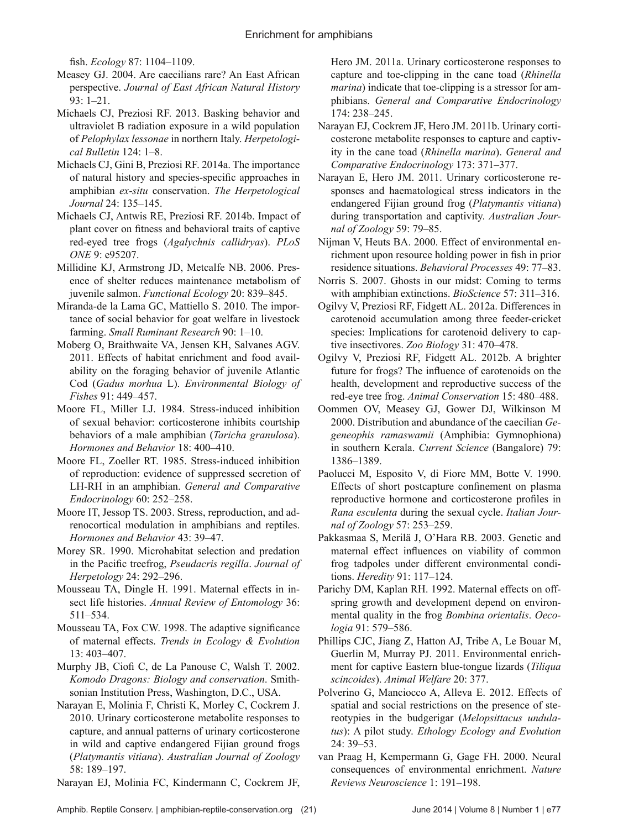fish. *Ecology* 87: 1104–1109.

- Measey GJ. 2004. Are caecilians rare? An East African perspective. *Journal of East African Natural History*  93: 1–21.
- Michaels CJ, Preziosi RF. 2013. Basking behavior and ultraviolet B radiation exposure in a wild population of *Pelophylax lessonae* in northern Italy. *Herpetological Bulletin* 124: 1–8.
- Michaels CJ, Gini B, Preziosi RF. 2014a. The importance of natural history and species-specific approaches in amphibian *ex-situ* conservation. *The Herpetological Journal* 24: 135–145.
- Michaels CJ, Antwis RE, Preziosi RF. 2014b. Impact of plant cover on fitness and behavioral traits of captive red-eyed tree frogs (*Agalychnis callidryas*). *PLoS ONE* 9: e95207.
- Millidine KJ, Armstrong JD, Metcalfe NB. 2006. Presence of shelter reduces maintenance metabolism of juvenile salmon. *Functional Ecology* 20: 839–845.
- Miranda-de la Lama GC, Mattiello S. 2010. The importance of social behavior for goat welfare in livestock farming. *Small Ruminant Research* 90: 1–10.
- Moberg O, Braithwaite VA, Jensen KH, Salvanes AGV. 2011. Effects of habitat enrichment and food availability on the foraging behavior of juvenile Atlantic Cod (*Gadus morhua* L). *Environmental Biology of Fishes* 91: 449–457.
- Moore FL, Miller LJ. 1984. Stress-induced inhibition of sexual behavior: corticosterone inhibits courtship behaviors of a male amphibian (*Taricha granulosa*). *Hormones and Behavior* 18: 400–410.
- Moore FL, Zoeller RT. 1985. Stress-induced inhibition of reproduction: evidence of suppressed secretion of LH-RH in an amphibian. *General and Comparative Endocrinology* 60: 252–258.
- Moore IT, Jessop TS. 2003. Stress, reproduction, and adrenocortical modulation in amphibians and reptiles. *Hormones and Behavior* 43: 39–47.
- Morey SR. 1990. Microhabitat selection and predation in the Pacific treefrog, *Pseudacris regilla*. *Journal of Herpetology* 24: 292–296.
- Mousseau TA, Dingle H. 1991. Maternal effects in insect life histories. *Annual Review of Entomology* 36: 511–534.
- Mousseau TA, Fox CW. 1998. The adaptive significance of maternal effects. *Trends in Ecology & Evolution*  13: 403–407.
- Murphy JB, Ciofi C, de La Panouse C, Walsh T. 2002. *Komodo Dragons: Biology and conservation*. Smithsonian Institution Press, Washington, D.C., USA.
- Narayan E, Molinia F, Christi K, Morley C, Cockrem J. 2010. Urinary corticosterone metabolite responses to capture, and annual patterns of urinary corticosterone in wild and captive endangered Fijian ground frogs (*Platymantis vitiana*). *Australian Journal of Zoology*  58: 189–197.
- Narayan EJ, Molinia FC, Kindermann C, Cockrem JF,

Hero JM. 2011a. Urinary corticosterone responses to capture and toe-clipping in the cane toad (*Rhinella marina*) indicate that toe-clipping is a stressor for amphibians. *General and Comparative Endocrinology*  174: 238–245.

- Narayan EJ, Cockrem JF, Hero JM. 2011b. Urinary corticosterone metabolite responses to capture and captivity in the cane toad (*Rhinella marina*). *General and Comparative Endocrinology* 173: 371–377.
- Narayan E, Hero JM. 2011. Urinary corticosterone responses and haematological stress indicators in the endangered Fijian ground frog (*Platymantis vitiana*) during transportation and captivity. *Australian Journal of Zoology* 59: 79–85.
- Nijman V, Heuts BA. 2000. Effect of environmental enrichment upon resource holding power in fish in prior residence situations. *Behavioral Processes* 49: 77–83.
- Norris S. 2007. Ghosts in our midst: Coming to terms with amphibian extinctions. *BioScience* 57: 311–316.
- Ogilvy V, Preziosi RF, Fidgett AL. 2012a. Differences in carotenoid accumulation among three feeder-cricket species: Implications for carotenoid delivery to captive insectivores. *Zoo Biology* 31: 470–478.
- Ogilvy V, Preziosi RF, Fidgett AL. 2012b. A brighter future for frogs? The influence of carotenoids on the health, development and reproductive success of the red-eye tree frog. *Animal Conservation* 15: 480–488.
- Oommen OV, Measey GJ, Gower DJ, Wilkinson M 2000. Distribution and abundance of the caecilian *Gegeneophis ramaswamii* (Amphibia: Gymnophiona) in southern Kerala. *Current Science* (Bangalore) 79: 1386–1389.
- Paolucci M, Esposito V, di Fiore MM, Botte V. 1990. Effects of short postcapture confinement on plasma reproductive hormone and corticosterone profiles in *Rana esculenta* during the sexual cycle. *Italian Journal of Zoology* 57: 253–259.
- Pakkasmaa S, Merilä J, O'Hara RB. 2003. Genetic and maternal effect influences on viability of common frog tadpoles under different environmental conditions. *Heredity* 91: 117–124.
- Parichy DM, Kaplan RH. 1992. Maternal effects on offspring growth and development depend on environmental quality in the frog *Bombina orientalis*. *Oecologia* 91: 579–586.
- Phillips CJC, Jiang Z, Hatton AJ, Tribe A, Le Bouar M, Guerlin M, Murray PJ. 2011. Environmental enrichment for captive Eastern blue-tongue lizards (*Tiliqua scincoides*). *Animal Welfare* 20: 377.
- Polverino G, Manciocco A, Alleva E. 2012. Effects of spatial and social restrictions on the presence of stereotypies in the budgerigar (*Melopsittacus undulatus*): A pilot study. *Ethology Ecology and Evolution*  24: 39–53.
- van Praag H, Kempermann G, Gage FH. 2000. Neural consequences of environmental enrichment. *Nature Reviews Neuroscience* 1: 191–198.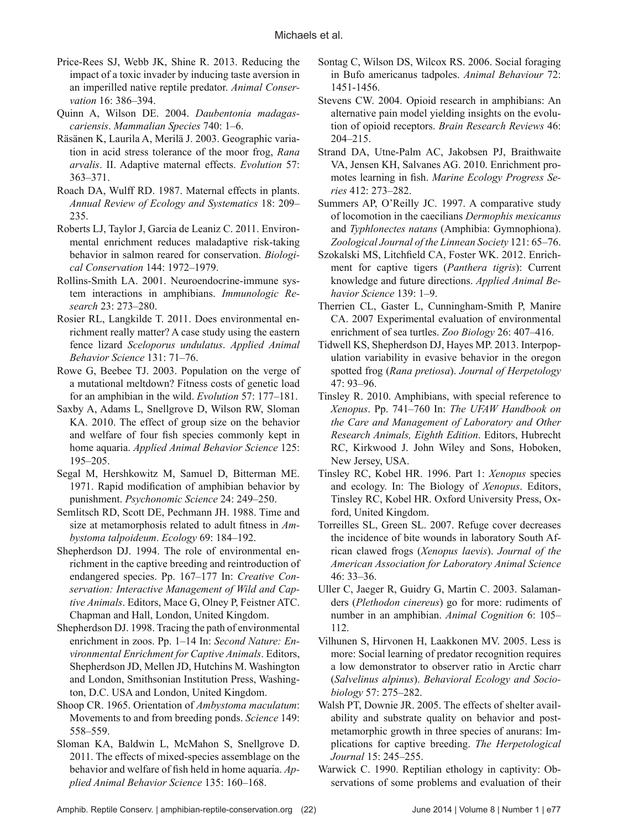- Price-Rees SJ, Webb JK, Shine R. 2013. Reducing the impact of a toxic invader by inducing taste aversion in an imperilled native reptile predator. *Animal Conservation* 16: 386–394.
- Quinn A, Wilson DE. 2004. *Daubentonia madagascariensis*. *Mammalian Species* 740: 1–6.
- Räsänen K, Laurila A, Merilä J. 2003. Geographic variation in acid stress tolerance of the moor frog, *Rana arvalis*. II. Adaptive maternal effects. *Evolution* 57: 363–371.
- Roach DA, Wulff RD. 1987. Maternal effects in plants. *Annual Review of Ecology and Systematics* 18: 209– 235.
- Roberts LJ, Taylor J, Garcia de Leaniz C. 2011. Environmental enrichment reduces maladaptive risk-taking behavior in salmon reared for conservation. *Biological Conservation* 144: 1972–1979.
- Rollins-Smith LA. 2001. Neuroendocrine-immune system interactions in amphibians. *Immunologic Research* 23: 273–280.
- Rosier RL, Langkilde T. 2011. Does environmental enrichment really matter? A case study using the eastern fence lizard *Sceloporus undulatus*. *Applied Animal Behavior Science* 131: 71–76.
- Rowe G, Beebee TJ. 2003. Population on the verge of a mutational meltdown? Fitness costs of genetic load for an amphibian in the wild. *Evolution* 57: 177–181.
- Saxby A, Adams L, Snellgrove D, Wilson RW, Sloman KA. 2010. The effect of group size on the behavior and welfare of four fish species commonly kept in home aquaria. *Applied Animal Behavior Science* 125: 195–205.
- Segal M, Hershkowitz M, Samuel D, Bitterman ME. 1971. Rapid modification of amphibian behavior by punishment. *Psychonomic Science* 24: 249–250.
- Semlitsch RD, Scott DE, Pechmann JH. 1988. Time and size at metamorphosis related to adult fitness in *Ambystoma talpoideum*. *Ecology* 69: 184–192.
- Shepherdson DJ. 1994. The role of environmental enrichment in the captive breeding and reintroduction of endangered species. Pp. 167–177 In: *Creative Conservation: Interactive Management of Wild and Captive Animals*. Editors, Mace G, Olney P, Feistner ATC. Chapman and Hall, London, United Kingdom.
- Shepherdson DJ. 1998. Tracing the path of environmental enrichment in zoos. Pp. 1–14 In: *Second Nature: Environmental Enrichment for Captive Animals*. Editors, Shepherdson JD, Mellen JD, Hutchins M. Washington and London, Smithsonian Institution Press, Washington, D.C. USA and London, United Kingdom.
- Shoop CR. 1965. Orientation of *Ambystoma maculatum*: Movements to and from breeding ponds. *Science* 149: 558–559.
- Sloman KA, Baldwin L, McMahon S, Snellgrove D. 2011. The effects of mixed-species assemblage on the behavior and welfare of fish held in home aquaria. *Applied Animal Behavior Science* 135: 160–168.
- Sontag C, Wilson DS, Wilcox RS. 2006. Social foraging in Bufo americanus tadpoles. *Animal Behaviour* 72: 1451-1456.
- Stevens CW. 2004. Opioid research in amphibians: An alternative pain model yielding insights on the evolution of opioid receptors. *Brain Research Reviews* 46: 204–215.
- Strand DA, Utne-Palm AC, Jakobsen PJ, Braithwaite VA, Jensen KH, Salvanes AG. 2010. Enrichment promotes learning in fish. *Marine Ecology Progress Series* 412: 273–282.
- Summers AP, O'Reilly JC. 1997. A comparative study of locomotion in the caecilians *Dermophis mexicanus*  and *Typhlonectes natans* (Amphibia: Gymnophiona). *Zoological Journal of the Linnean Society* 121: 65–76.
- Szokalski MS, Litchfield CA, Foster WK. 2012. Enrichment for captive tigers (*Panthera tigris*): Current knowledge and future directions. *Applied Animal Behavior Science* 139: 1–9.
- Therrien CL, Gaster L, Cunningham-Smith P, Manire CA. 2007 Experimental evaluation of environmental enrichment of sea turtles. *Zoo Biology* 26: 407–416.
- Tidwell KS, Shepherdson DJ, Hayes MP. 2013. Interpopulation variability in evasive behavior in the oregon spotted frog (*Rana pretiosa*). *Journal of Herpetology*  47: 93–96.
- Tinsley R. 2010. Amphibians, with special reference to *Xenopus*. Pp. 741–760 In: *The UFAW Handbook on the Care and Management of Laboratory and Other Research Animals, Eighth Edition*. Editors, Hubrecht RC, Kirkwood J. John Wiley and Sons, Hoboken, New Jersey, USA.
- Tinsley RC, Kobel HR. 1996. Part 1: *Xenopus* species and ecology. In: The Biology of *Xenopus*. Editors, Tinsley RC, Kobel HR. Oxford University Press, Oxford, United Kingdom.
- Torreilles SL, Green SL. 2007. Refuge cover decreases the incidence of bite wounds in laboratory South African clawed frogs (*Xenopus laevis*). *Journal of the American Association for Laboratory Animal Science*  46: 33–36.
- Uller C, Jaeger R, Guidry G, Martin C. 2003. Salamanders (*Plethodon cinereus*) go for more: rudiments of number in an amphibian. *Animal Cognition* 6: 105– 112.
- Vilhunen S, Hirvonen H, Laakkonen MV. 2005. Less is more: Social learning of predator recognition requires a low demonstrator to observer ratio in Arctic charr (*Salvelinus alpinus*). *Behavioral Ecology and Sociobiology* 57: 275–282.
- Walsh PT, Downie JR. 2005. The effects of shelter availability and substrate quality on behavior and postmetamorphic growth in three species of anurans: Implications for captive breeding. *The Herpetological Journal* 15: 245–255.
- Warwick C. 1990. Reptilian ethology in captivity: Observations of some problems and evaluation of their